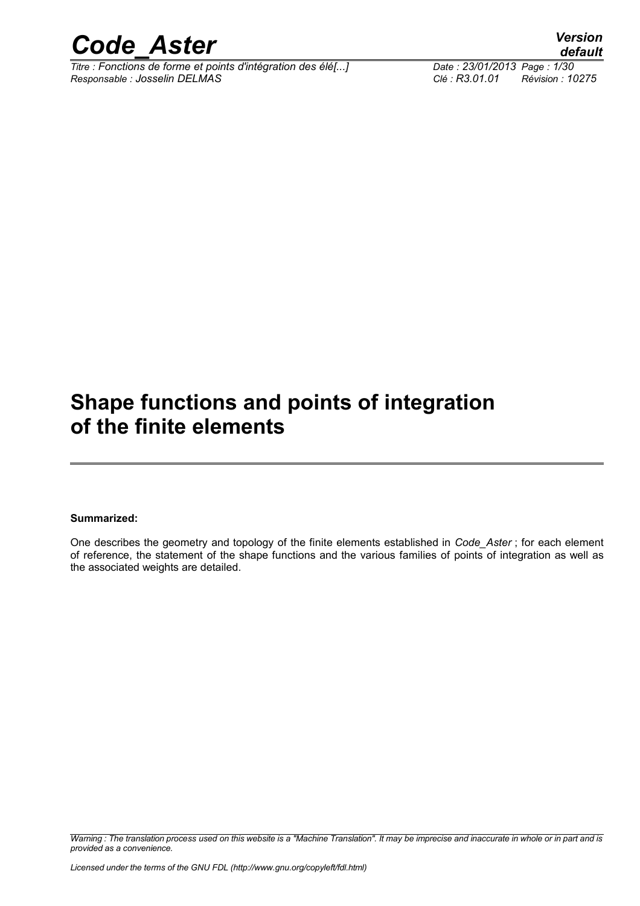

*Titre : Fonctions de forme et points d'intégration des élé[...] Date : 23/01/2013 Page : 1/30 Responsable : Josselin DELMAS Clé : R3.01.01 Révision : 10275*

*default*

### **Shape functions and points of integration of the finite elements**

#### **Summarized:**

One describes the geometry and topology of the finite elements established in *Code\_Aster* ; for each element of reference, the statement of the shape functions and the various families of points of integration as well as the associated weights are detailed.

*Warning : The translation process used on this website is a "Machine Translation". It may be imprecise and inaccurate in whole or in part and is provided as a convenience.*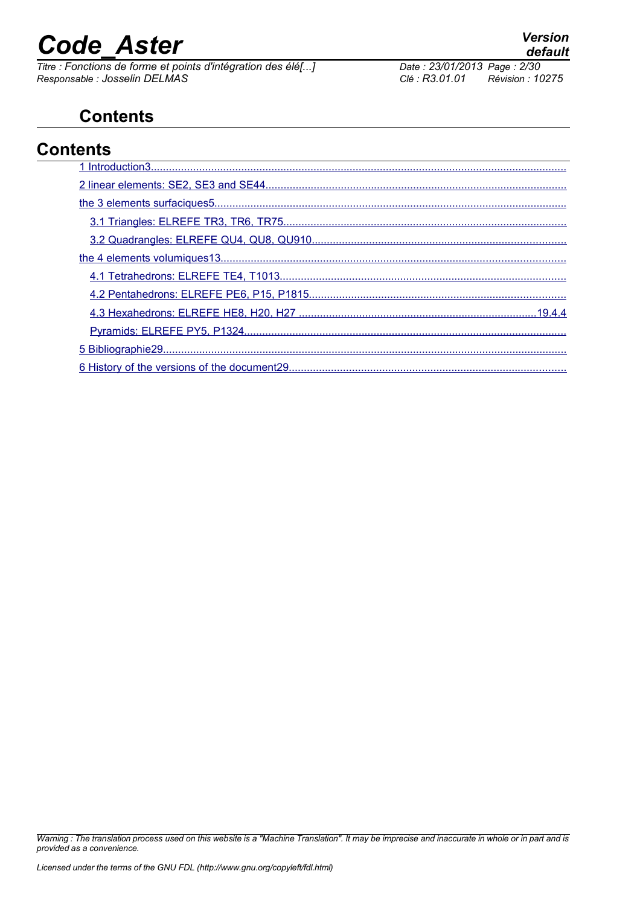*Titre : Fonctions de forme et points d'intégration des élé[...] Date : 23/01/2014 Page : 23/01/2014 Page : 23/01/2014 Page : 23/01/2014 Page : 23/01/2014 Page : Page : Page : Page : Page : Page : Page : Page : Responsable : Josselin DELMAS Clé : R3.01.01 Révision : 10275*

### **Contents**

| <b>Contents</b> |  |
|-----------------|--|
| 1 Introduction3 |  |
|                 |  |
|                 |  |
|                 |  |
|                 |  |
|                 |  |
|                 |  |
|                 |  |
|                 |  |
|                 |  |
|                 |  |
|                 |  |

*Warning : The translation process used on this website is a "Machine Translation". It may be imprecise and inaccurate in whole or in part and is provided as a convenience.*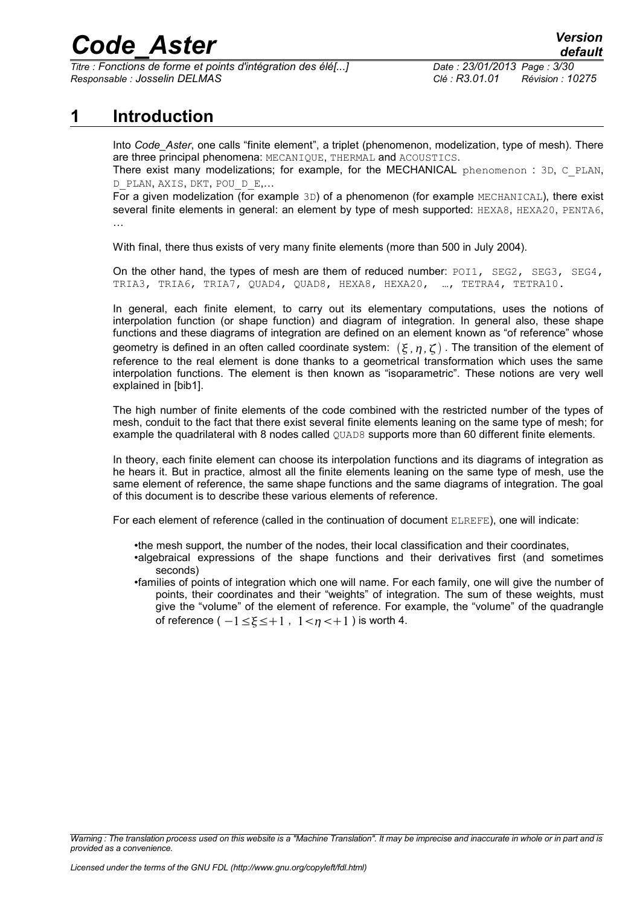*Titre : Fonctions de forme et points d'intégration des élé[...] Date : 23/01/2013 Page : 3/30 Responsable : Josselin DELMAS Clé : R3.01.01 Révision : 10275*

### **1 Introduction**

<span id="page-2-0"></span>Into *Code\_Aster*, one calls "finite element", a triplet (phenomenon, modelization, type of mesh). There are three principal phenomena: MECANIQUE, THERMAL and ACOUSTICS.

There exist many modelizations; for example, for the MECHANICAL phenomenon : 3D, C\_PLAN, D\_PLAN, AXIS, DKT, POU\_D\_E,…

For a given modelization (for example 3D) of a phenomenon (for example MECHANICAL), there exist several finite elements in general: an element by type of mesh supported: HEXA8, HEXA20, PENTA6, …

With final, there thus exists of very many finite elements (more than 500 in July 2004).

On the other hand, the types of mesh are them of reduced number: POI1, SEG2, SEG3, SEG4, TRIA3, TRIA6, TRIA7, QUAD4, QUAD8, HEXA8, HEXA20, …, TETRA4, TETRA10.

In general, each finite element, to carry out its elementary computations, uses the notions of interpolation function (or shape function) and diagram of integration. In general also, these shape functions and these diagrams of integration are defined on an element known as "of reference" whose geometry is defined in an often called coordinate system:  $(\xi, \eta, \zeta)$ . The transition of the element of reference to the real element is done thanks to a geometrical transformation which uses the same interpolation functions. The element is then known as "isoparametric". These notions are very well explained in [bib1].

The high number of finite elements of the code combined with the restricted number of the types of mesh, conduit to the fact that there exist several finite elements leaning on the same type of mesh; for example the quadrilateral with 8 nodes called OUAD8 supports more than 60 different finite elements.

In theory, each finite element can choose its interpolation functions and its diagrams of integration as he hears it. But in practice, almost all the finite elements leaning on the same type of mesh, use the same element of reference, the same shape functions and the same diagrams of integration. The goal of this document is to describe these various elements of reference.

For each element of reference (called in the continuation of document ELREFE), one will indicate:

- •the mesh support, the number of the nodes, their local classification and their coordinates,
- •algebraical expressions of the shape functions and their derivatives first (and sometimes seconds)
- •families of points of integration which one will name. For each family, one will give the number of points, their coordinates and their "weights" of integration. The sum of these weights, must give the "volume" of the element of reference. For example, the "volume" of the quadrangle of reference ( $-1 \le \xi \le +1$ ,  $1 < \eta < +1$ ) is worth 4.

*Warning : The translation process used on this website is a "Machine Translation". It may be imprecise and inaccurate in whole or in part and is provided as a convenience.*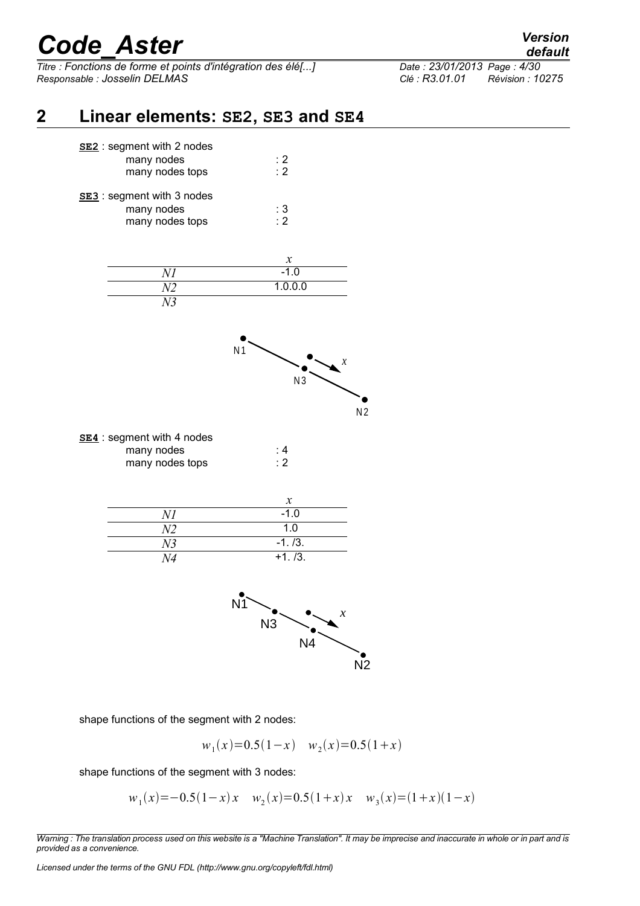*Titre : Fonctions de forme et points d'intégration des élé[...] Date : 23/01/2013 Page : 4/30 Responsable : Josselin DELMAS Clé : R3.01.01 Révision : 10275*

### **2 Linear elements: SE2, SE3 and SE4**

<span id="page-3-0"></span>



shape functions of the segment with 2 nodes:

 $w_1(x) = 0.5(1-x)$   $w_2(x) = 0.5(1+x)$ 

shape functions of the segment with 3 nodes:

 $w_1(x) = -0.5(1-x)x$   $w_2(x) = 0.5(1+x)x$   $w_3(x) = (1+x)(1-x)$ 

*default*

*Warning : The translation process used on this website is a "Machine Translation". It may be imprecise and inaccurate in whole or in part and is provided as a convenience.*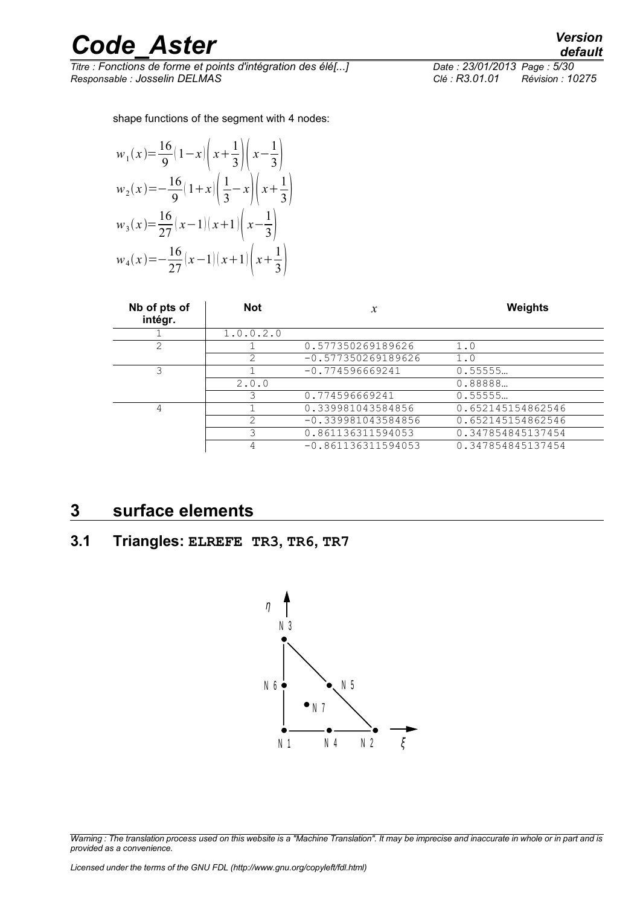*Code\_Aster Version*<br>*Titre : Fonctions de forme et points d'intégration des élé[...] Date : 23/01/2013 Page : 5/30* 

*Titre : Fonctions de forme et points d'intégration des élé[...] Date : 23/01/20*<br> *Responsable : Josselin DELMAS Clé : R3.01.01 Responsable : Josselin DELMAS Clé : R3.01.01 Révision : 10275*

*default*

shape functions of the segment with 4 nodes:

$$
w_1(x) = \frac{16}{9} (1-x) \left(x + \frac{1}{3}\right) \left(x - \frac{1}{3}\right)
$$
  
\n
$$
w_2(x) = -\frac{16}{9} (1+x) \left(\frac{1}{3} - x\right) \left(x + \frac{1}{3}\right)
$$
  
\n
$$
w_3(x) = \frac{16}{27} (x - 1) \left(x + 1\right) \left(x - \frac{1}{3}\right)
$$
  
\n
$$
w_4(x) = -\frac{16}{27} (x - 1) \left(x + 1\right) \left(x + \frac{1}{3}\right)
$$

| Nb of pts of<br>intégr. | <b>Not</b> | $\boldsymbol{\chi}$  | <b>Weights</b>    |
|-------------------------|------------|----------------------|-------------------|
|                         | 1.0.0.2.0  |                      |                   |
|                         |            | 0.577350269189626    | 1.0               |
|                         |            | $-0.577350269189626$ | 1.0               |
| 3                       |            | $-0.774596669241$    | 0.55555           |
|                         | 2.0.0      |                      | 0.88888.          |
|                         | ς          | 0.774596669241       | 0.55555           |
| 4                       |            | 0.339981043584856    | 0.652145154862546 |
|                         |            | $-0.339981043584856$ | 0.652145154862546 |
|                         |            | 0.861136311594053    | 0.347854845137454 |
|                         |            | $-0.861136311594053$ | 0.347854845137454 |

### <span id="page-4-1"></span>**3 surface elements**

### <span id="page-4-0"></span>**3.1 Triangles: ELREFE TR3, TR6, TR7**



*Warning : The translation process used on this website is a "Machine Translation". It may be imprecise and inaccurate in whole or in part and is provided as a convenience.*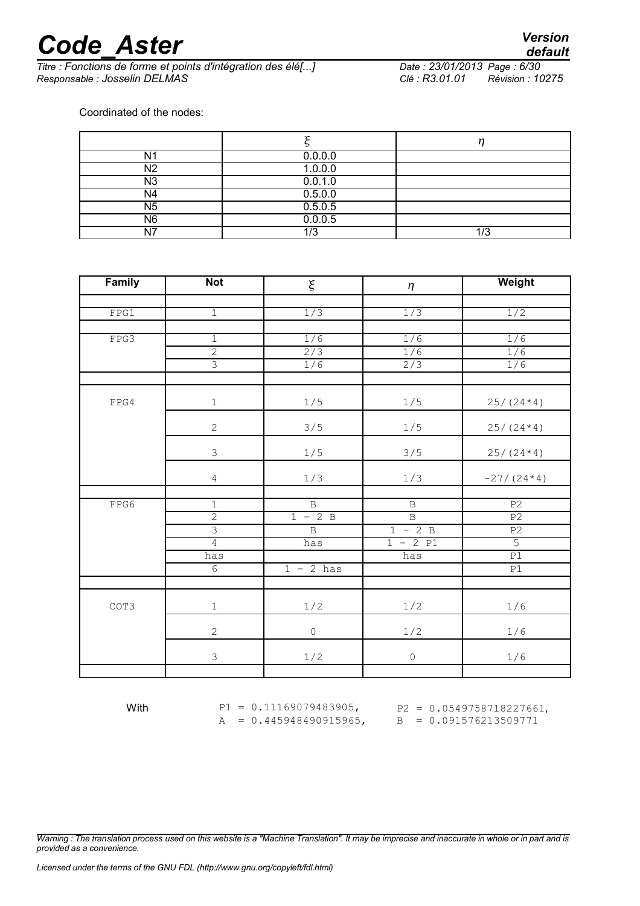# *Code\_Aster Version*<br>Titre : Fonctions de forme et points d'intégration des élé[...] Date : 23/01/2013 Page : 6/30

 $\overline{T}$ itre : Fonctions de forme et points d'intégration des élé[...] *Responsable : Josselin DELMAS Clé : R3.01.01 Révision : 10275*

Coordinated of the nodes:

|                | 0.0.0.0 |  |
|----------------|---------|--|
| N2             | 1.0.0.0 |  |
| N3             | 0.0.1.0 |  |
| N4             | 0.5.0.0 |  |
| N5             | 0.5.0.5 |  |
| N <sub>6</sub> | 0.0.0.5 |  |
|                |         |  |

| Family | <b>Not</b>     | $\xi$               | $\eta$           | Weight         |
|--------|----------------|---------------------|------------------|----------------|
|        |                |                     |                  |                |
| FPG1   | $\overline{1}$ | 1/3                 | $\overline{1/3}$ | 1/2            |
|        |                |                     |                  |                |
| FPG3   | $\overline{1}$ | 1/6                 | 1/6              | 1/6            |
|        | $\overline{2}$ | $\overline{2/3}$    | 1/6              | 1/6            |
|        | $\overline{3}$ | 1/6                 | $\overline{2/3}$ | 1/6            |
|        |                |                     |                  |                |
| FPG4   | $1\,$          | 1/5                 | 1/5              | $25/(24*4)$    |
|        | $\overline{c}$ | 3/5                 | 1/5              | $25/(24*4)$    |
|        | $\mathfrak{Z}$ | $1/5$               | 3/5              | $25/(24*4)$    |
|        | $\overline{4}$ | 1/3                 | 1/3              | $-27/(24*4)$   |
|        |                |                     |                  |                |
| FPG6   | $\overline{1}$ | $\, {\bf B}$        | $\overline{B}$   | P <sub>2</sub> |
|        | $\overline{2}$ | $1 - 2B$            | $\overline{B}$   | P <sub>2</sub> |
|        | $\overline{3}$ | $\, {\bf B}$        | $1 - 2B$         | P2             |
|        | $\overline{4}$ | has                 | $1 - 2 P1$       | $\overline{5}$ |
|        | has            |                     | has              | P1             |
|        | $\overline{6}$ | $1 - 2$ has         |                  | P1             |
|        |                |                     |                  |                |
| COT3   | $\mathbf{1}$   | 1/2                 | 1/2              | 1/6            |
|        | $\mathbf{2}$   | $\mathsf{O}\xspace$ | 1/2              | 1/6            |
|        | $\mathfrak{Z}$ | 1/2                 | $\mathbb O$      | $1/6$          |
|        |                |                     |                  |                |

With P1 = 0.11169079483905, P2 = 0.0549758718227661,

 $A = 0.445948490915965$ ,  $B = 0.091576213509771$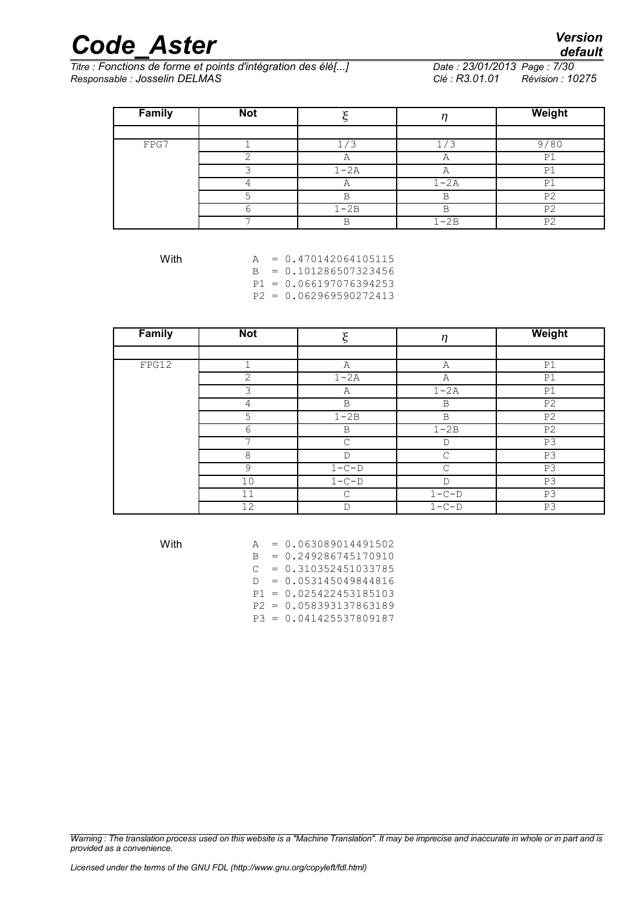# *Code\_Aster Version*<br>*Titre : Fonctions de forme et points d'intégration des élé[...] Date : 23/01/2013 Page : 7/30*

*Titre : Fonctions de forme et points d'intégration des élé[...] Responsable : Josselin DELMAS Clé : R3.01.01 Révision : 10275*

| Family | <b>Not</b> |          |                          | <b>Weight</b>  |
|--------|------------|----------|--------------------------|----------------|
|        |            |          |                          |                |
| FPG7   |            |          | $\overline{\phantom{0}}$ | 9/80           |
|        |            | ≏        | ∽                        | P              |
|        |            | $1 - 2A$ | ▱                        | $P^{\prime}$   |
|        |            | A        | $1 - 2A$                 | P.             |
|        |            | Р        | R                        | P2             |
|        |            | $1 - 2B$ | R                        | Ρ2             |
|        |            | В        | $1 - 2B$                 | P <sub>2</sub> |

 $With$   $A = 0.470142064105115$ B = 0.101286507323456 P1 = 0.066197076394253 P2 = 0.062969590272413

| Family | <b>Not</b>     | ξ            | $\eta$         | Weight         |
|--------|----------------|--------------|----------------|----------------|
|        |                |              |                |                |
| FPG12  | ⊣              | Α            | Α              | P1             |
|        | $\overline{2}$ | $1 - 2A$     | Α              | P1             |
|        | 3              | Α            | $1 - 2A$       | P1             |
|        | 4              | B            | B              | P <sub>2</sub> |
|        | 5              | $1 - 2B$     | $\mathbf B$    | P <sub>2</sub> |
|        | 6              | B            | $1-2B$         | P <sub>2</sub> |
|        | $\overline{7}$ | C            | D              | P3             |
|        | $\,8\,$        | D            | $\mathcal{C}$  | P3             |
|        | 9              | $1 - C - D$  | $\mathsf{C}$   | P3             |
|        | 10             | $1 - C - D$  | $\overline{D}$ | P3             |
|        | 11             | $\mathsf{C}$ | $1 - C - D$    | P3             |
|        | 12             | $\mathbb D$  | $1 - C - D$    | P3             |

With

| А | $= 0.063089014491502$    |
|---|--------------------------|
| B | $= 0.249286745170910$    |
| C | $= 0.310352451033785$    |
| Ð | $= 0.053145049844816$    |
|   | $P1 = 0.025422453185103$ |
|   | $P2 = 0.058393137863189$ |
|   | $P3 = 0.041425537809187$ |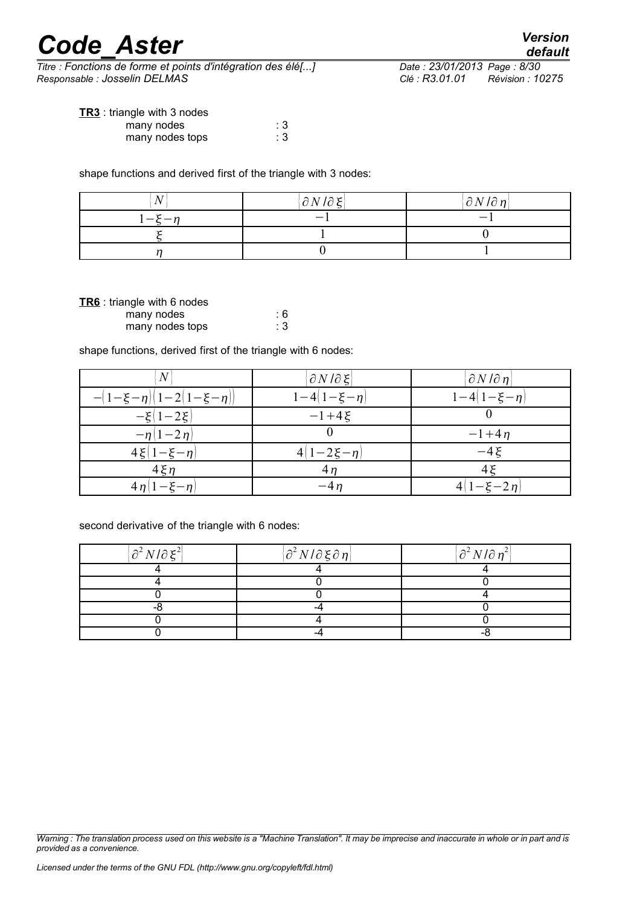*Titre : Fonctions de forme et points d'intégration des élé[...] Date : 23/01/2013 Page : 8/30 Responsable : Josselin DELMAS Clé : R3.01.01 Révision : 10275*

**TR3** : triangle with 3 nodes

| many nodes      | : 3 |
|-----------------|-----|
| many nodes tops | : 3 |

shape functions and derived first of the triangle with 3 nodes:

| - -           | $\partial N/\partial \xi$ | $\partial N/\partial \eta$ |
|---------------|---------------------------|----------------------------|
| $1 - \xi - n$ |                           |                            |
|               |                           |                            |
|               |                           |                            |

**TR6** : triangle with 6 nodes many nodes<br>
many nodes tops  $: 6$ <br>  $: 3$ many nodes tops

shape functions, derived first of the triangle with 6 nodes:

| $\overline{N}$                     | $\partial N/\partial \xi$ | $\partial N/\partial \eta$ |
|------------------------------------|---------------------------|----------------------------|
| $- 1-\xi-\eta   1-2   1-\xi-\eta $ | $1-4 1-\xi-\eta $         | $1-4 1-\xi-\eta $          |
| $-\xi(1-2\xi)$                     | $-1+4\xi$                 |                            |
| $-\eta(1-2\eta)$                   |                           | $-1 + 4n$                  |
| $4\xi(1-\xi-\eta)$                 | $4(1-2\xi-\eta)$          | $-4\xi$                    |
| $4 \xi \eta$                       | 4n                        | 4۶                         |
| $4n(1-\xi-\eta)$                   | $-4n$                     | $4(1-\xi-2\eta)$           |

second derivative of the triangle with 6 nodes:

| $\left[\partial^2 N/\partial \xi^2\right]$ | $\left \partial^2 N/\partial \xi \partial \eta\right $ | $\left \partial^2 N/\partial\eta^2\right $ |
|--------------------------------------------|--------------------------------------------------------|--------------------------------------------|
|                                            |                                                        |                                            |
|                                            |                                                        |                                            |
|                                            |                                                        |                                            |
|                                            |                                                        |                                            |
|                                            |                                                        |                                            |
|                                            |                                                        |                                            |

*Warning : The translation process used on this website is a "Machine Translation". It may be imprecise and inaccurate in whole or in part and is provided as a convenience.*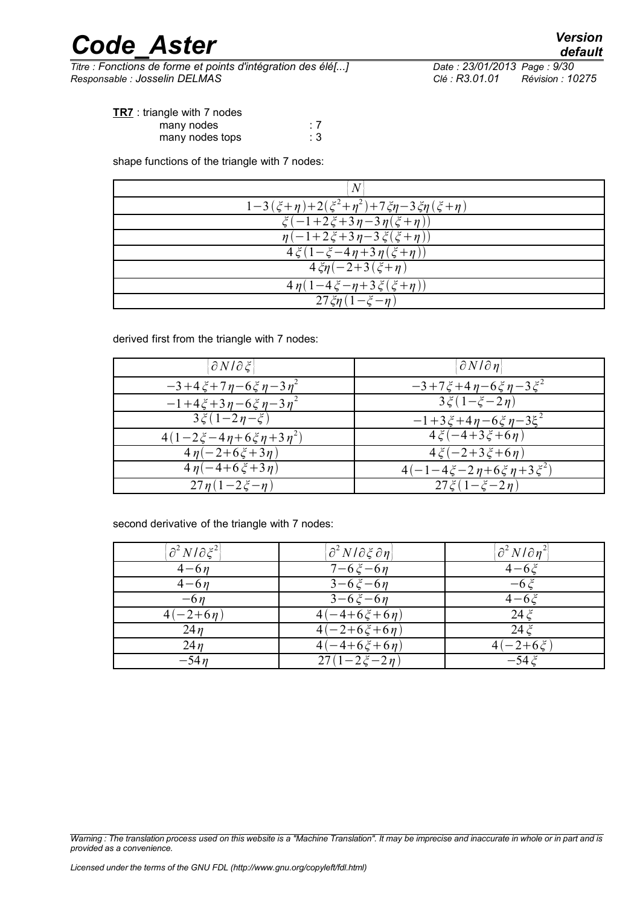*Titre : Fonctions de forme et points d'intégration des élé[...] Date : 23/01/2013 Page : 9/30 Responsable : Josselin DELMAS Cle : <i>Cle : //Cl**Cle : //Cl**Cl* 

|                              | default                 |
|------------------------------|-------------------------|
| ate : 23/01/2013 Page : 9/30 |                         |
| 'é : R3.01.01                | <b>Révision : 10275</b> |

| <b>TR7</b> : triangle with 7 nodes |     |
|------------------------------------|-----|
| many nodes                         | : 7 |
| many nodes tops                    | :3  |

shape functions of the triangle with 7 nodes:

| $1-3(\xi+\eta)+2(\xi^2+\eta^2)+7\zeta\eta-3\zeta\eta(\xi+\eta)$ |
|-----------------------------------------------------------------|
| $\overline{\xi(-1+2\xi+3\eta-3\eta(\xi+\eta))}$                 |
| $\eta(-1+2\xi+3\eta-3\xi(\xi+\eta))$                            |
| $4\xi(1-\xi-4\eta+3\eta(\xi+\eta))$                             |
| $4\zeta\eta(-2+3(\zeta+\eta))$                                  |
| $4 \eta (1 - 4 \xi - \eta + 3 \xi (\xi + \eta))$                |
| $27 \xi n (1 - \xi - n)$                                        |

derived first from the triangle with 7 nodes:

| $\partial N/\partial \xi$            | $\partial N/\partial n$                  |
|--------------------------------------|------------------------------------------|
| $-3+4\zeta+7\eta-6\zeta\eta-3\eta^2$ | $-3+7\zeta+4\eta-6\zeta\eta-3\zeta^2$    |
| $-1+4\xi+3\eta-6\xi\eta-3\eta^2$     | $3\xi(1-\xi-2\eta)$                      |
| $3\xi(1-2n-\xi)$                     | $-1+3\zeta+4\eta-6\zeta\eta-3\xi^2$      |
| $4(1-2\xi-4\eta+6\xi\eta+3\eta^2)$   | $4\zeta(-4+3\zeta+6\eta)$                |
| $4 \eta (-2+6 \xi + 3\eta)$          | $4\zeta(-2+3\zeta+6\eta)$                |
| $4 \eta (-4+6 \xi + 3 \eta)$         | $4(-1-4\zeta-2\eta+6\zeta\eta+3\zeta^2)$ |
| $27n(1-2\xi-\eta)$                   | $\overline{27\xi}(1-\xi-2\eta)$          |

second derivative of the triangle with 7 nodes:

| $ \partial^2 N/\partial \xi^2 $ | $\partial^2 N/\partial \xi \, \partial \eta$ | $\left \partial^2 N/\partial\eta^2\right $ |
|---------------------------------|----------------------------------------------|--------------------------------------------|
| $4 - 6n$                        | $7 - 6\xi - 6\eta$                           | $4 - 6\xi$                                 |
| $4 - 6n$                        | $3 - 6\xi - 6\eta$                           | $-6\xi$                                    |
| $-6n$                           | $3 - 6\xi - 6\eta$                           | $4 - 6\xi$                                 |
| $4(-2+6n)$                      | $4(-4+6\xi+6\eta)$                           | $24\xi$                                    |
| 24n                             | $4(-2+6\xi+6\eta)$                           | $24\xi$                                    |
| 24n                             | $4(-4+6\xi+6\eta)$                           | $4(-2+6\xi)$                               |
| $-54n$                          | $27(1-2\xi-2\eta)$                           | $-54\xi$                                   |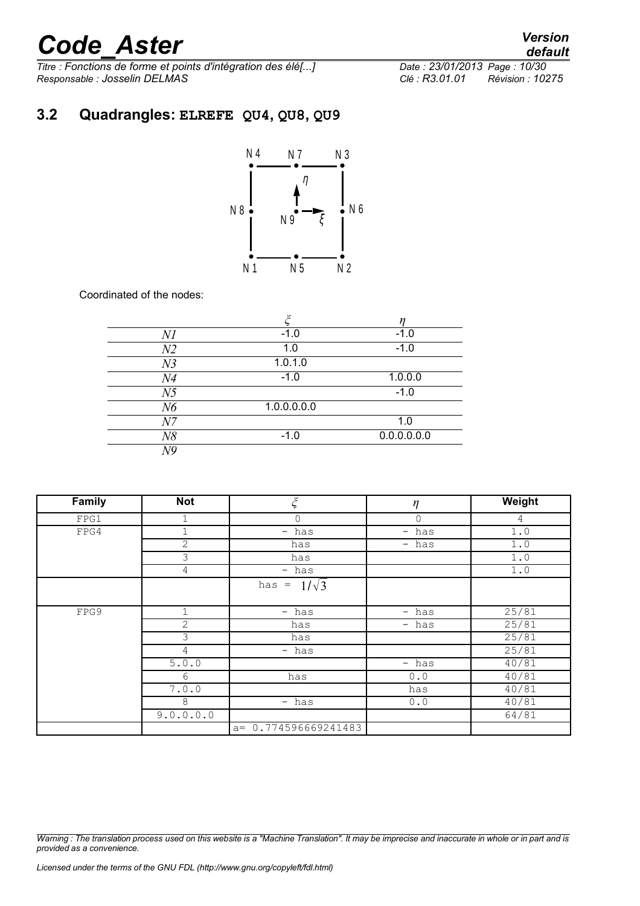*Titre : Fonctions de forme et points d'intégration des élé[...] Responsable : Josselin DELMAS Clé : R3.01.01 Révision : 10275*

| Date : 23/01/2013 Page : 10/30 |                         |
|--------------------------------|-------------------------|
| Clé : R3.01.01                 | <b>Révision : 10275</b> |

### <span id="page-9-0"></span>**3.2 Quadrangles: ELREFE QU4, QU8, QU9**



Coordinated of the nodes:

| Νl             | $-1.0$      | $-1.0$      |
|----------------|-------------|-------------|
| N2             | 1.0         | $-1.0$      |
| N <sub>3</sub> | 1.0.1.0     |             |
| N <sub>4</sub> | $-1.0$      | 1.0.0.0     |
| N <sub>5</sub> |             | $-1.0$      |
| N6             | 1.0.0.0.0.0 |             |
| N7             |             | 1.0         |
| $N\delta$      | $-1.0$      | 0.0.0.0.0.0 |
| N9             |             |             |

| Family | <b>Not</b>     | $\boldsymbol{\xi}$      | $\eta$                          | Weight |
|--------|----------------|-------------------------|---------------------------------|--------|
| FPG1   | 1              | $\mathbf 0$             | $\Omega$                        | 4      |
| FPG4   | 1              | - has                   | - has                           | $1.0$  |
|        | $\mathbf{2}$   | has                     | - has                           | $1.0$  |
|        | 3              | has                     |                                 | $1.0$  |
|        | $\overline{4}$ | - has                   |                                 | $1.0$  |
|        |                | $1/\sqrt{3}$<br>$has =$ |                                 |        |
| FPG9   | 1              | - has                   | - has                           | 25/81  |
|        | $\overline{2}$ | has                     | has<br>$\overline{\phantom{m}}$ | 25/81  |
|        | 3              | has                     |                                 | 25/81  |
|        | $\overline{4}$ | - has                   |                                 | 25/81  |
|        | 5.0.0          |                         | - has                           | 40/81  |
|        | 6              | has                     | 0.0                             | 40/81  |
|        | 7.0.0          |                         | has                             | 40/81  |
|        | 8              | - has                   | 0.0                             | 40/81  |
|        | 9.0.0.0.0      |                         |                                 | 64/81  |
|        |                | $a = 0.774596669241483$ |                                 |        |

*default*

*Warning : The translation process used on this website is a "Machine Translation". It may be imprecise and inaccurate in whole or in part and is provided as a convenience.*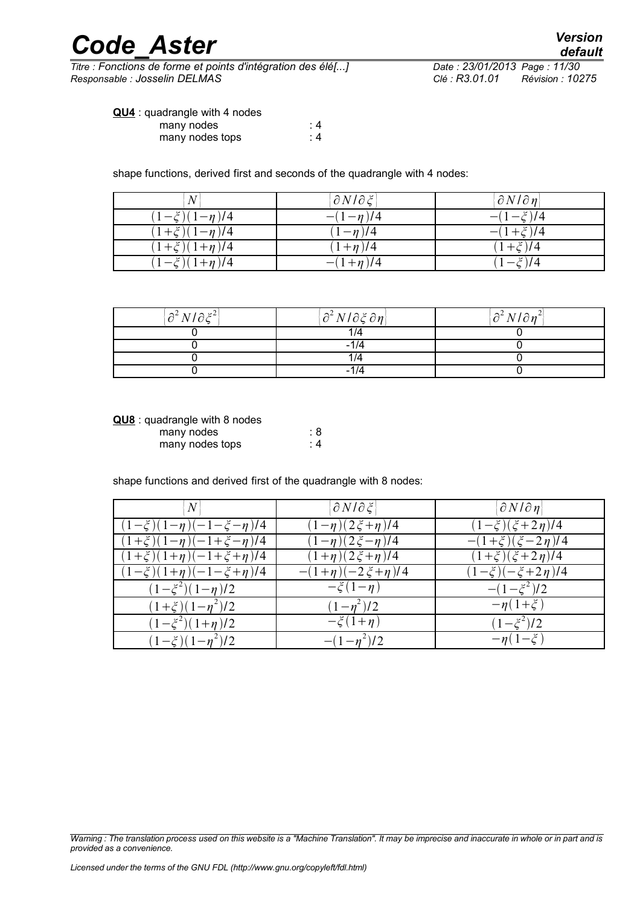*Titre : Fonctions de forme et points d'intégration des élé[...] Responsable : Josselin DELMAS Clé : R3.01.01 Révision : 10275*

| $QU4$ : quadrangle with 4 nodes |     |
|---------------------------------|-----|
| many nodes                      | : 4 |
| many nodes tops                 | : 4 |

shape functions, derived first and seconds of the quadrangle with 4 nodes:

| $\boldsymbol{N}$       | $\partial N/\partial \xi$ | $\partial N/\partial \eta$ |
|------------------------|---------------------------|----------------------------|
| $(1-\xi)(1-\eta)/4$    | $-(1-\eta)/4$             | $-(1-\xi)/4$               |
| $(1+\xi)(1-\eta)/4$    | $(1-\eta)/4$              | $-(1+\xi)/4$               |
| $(1+\xi)(1+\eta)/4$    | $(1+\eta)/4$              | $(1+\xi)/4$                |
| $1-\xi$ ) $(1+\eta)/4$ | $-(1+\eta)/4$             | $1 - \xi$ )/4              |

| $\partial^2 N/\partial \xi^2$ | $\left \partial^2 N/\partial \xi \,\partial \eta\right $ | $\partial^2 N/\partial n^2$ |
|-------------------------------|----------------------------------------------------------|-----------------------------|
|                               | 1/4                                                      |                             |
|                               | $-1/4$                                                   |                             |
|                               | 1/4                                                      |                             |
|                               | -174                                                     |                             |

**QU8** : quadrangle with 8 nodes many nodes : 8 many nodes tops : 4

shape functions and derived first of the quadrangle with 8 nodes:

| $N^{\parallel}$                  | $\partial N/\partial \xi$  | $\partial N/\partial \eta$ |
|----------------------------------|----------------------------|----------------------------|
| $(1-\xi)(1-\eta)(-1-\xi-\eta)/4$ | $(1-\eta)(2\xi+\eta)/4$    | $(1-\xi)(\xi+2\eta)/4$     |
| $(1+\xi)(1-\eta)(-1+\xi-\eta)/4$ | $(1-\eta)(2\xi-\eta)/4$    | $-(1+\xi)(\xi-2\eta)/4$    |
| $(1+\xi)(1+\eta)(-1+\xi+\eta)/4$ | $(1+\eta)(2\xi+\eta)/4$    | $(1+\xi)(\xi+2\eta)/4$     |
| $(1-\xi)(1+\eta)(-1-\xi+\eta)/4$ | $-(1+\eta)(-2 \xi+\eta)/4$ | $(1-\xi)(-\xi+2\eta)/4$    |
| $(1-\xi^2)(1-\eta)/2$            | $-\xi(1-\eta)$             | $-(1-\xi^2)/2$             |
| $(1+\xi)(1-\eta^2)/2$            | $(1 - \eta^2)/2$           | $-\eta(1+\xi)$             |
| $(1-\xi^2)(1+\eta)/2$            | $-\xi(1+\eta)$             | $(1-\xi^2)/2$              |
| $(1-\xi)(1-\eta^2)/2$            | $-(1-\eta^2)/2$            | $-\eta(1-\xi)$             |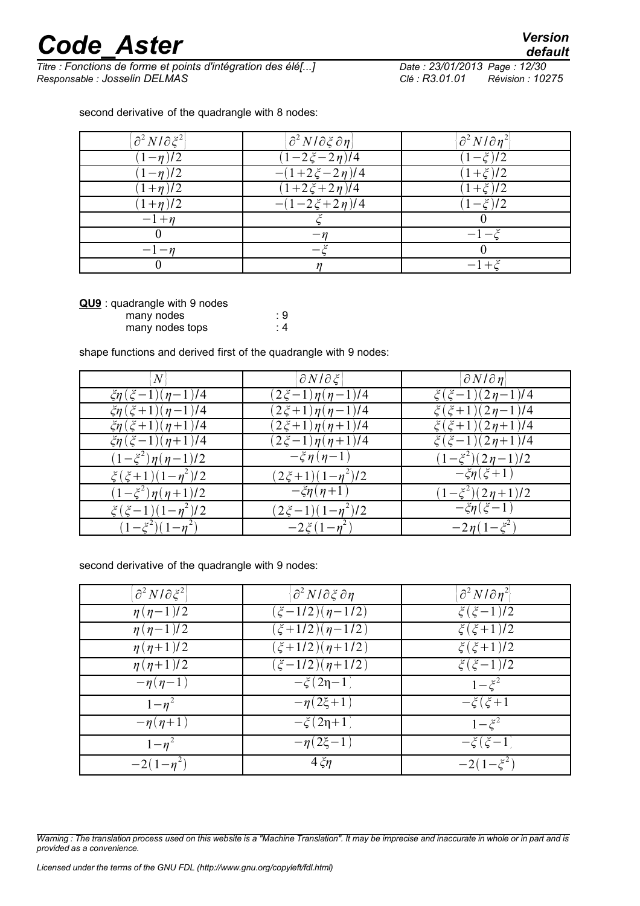*Titre : Fonctions de forme et points d'intégration des élé[...] Date : 23/01/2013 Page : 12/30 Responsable : Josselin DELMAS Clé : R3.01.01 Révision : 10275*

second derivative of the quadrangle with 8 nodes:

| $\left \partial^2N/\partial \zeta^2\right $ | $ \partial^2 N/\partial \xi \partial \eta $ | $\partial^2 N/\partial \eta^2$ |
|---------------------------------------------|---------------------------------------------|--------------------------------|
| $1 - \eta$ )/2                              | $\sqrt{1-2\zeta-2\eta/4}$                   | $1 - \xi$ )/2                  |
| $1 - \eta$ )/2                              | $-(1+2\xi-2\eta)/4$                         | $(1+\xi)/2$                    |
| $(1 + \eta)/2$                              | $\frac{(1+2\zeta+2\eta)}{4}$                | $(1+\xi)/2$                    |
| $(1+\eta)/2$                                | $\frac{-(1-2\xi+2\eta)/4}{4}$               | $(1 - \xi)/2$                  |
| $-1 + \eta$                                 |                                             |                                |
|                                             |                                             | $-1-\epsilon$                  |
|                                             |                                             |                                |
|                                             |                                             |                                |

**QU9** : quadrangle with 9 nodes

| many nodes      | : 9 |
|-----------------|-----|
| many nodes tops | : 4 |

shape functions and derived first of the quadrangle with 9 nodes:

| N                                    | $\partial N/\partial \xi$  | $\partial N/\partial \eta$ |
|--------------------------------------|----------------------------|----------------------------|
| $\zeta \eta (\zeta - 1)(\eta - 1)/4$ | $(2\xi-1)\eta(\eta-1)/4$   | $\xi(\xi-1)(2\eta-1)/4$    |
| $\zeta \eta (\zeta + 1)(\eta - 1)/4$ | $(2\xi+1)\eta(\eta-1)/4$   | $\xi(\xi+1)(2\eta-1)/4$    |
| $\zeta \eta (\zeta + 1)(\eta + 1)/4$ | $(2\xi+1)\eta(\eta+1)/4$   | $\xi(\xi+1)(2\eta+1)/4$    |
| $\zeta \eta (\zeta - 1)(\eta + 1)/4$ | $(2\zeta-1)\eta(\eta+1)/4$ | $\xi(\xi-1)(2\eta+1)/4$    |
| $(1-\xi^2)\eta(\eta-1)/2$            | $-\xi \eta(\eta-1)$        | $(1-\xi^2)(2\eta-1)/2$     |
| $\xi(\xi+1)(1-\eta^2)/2$             | $(2\zeta+1)(1-\eta^2)/2$   | $-\xi \eta(\xi+1)$         |
| $(1-\xi^2)\eta(\eta+1)/2$            | $-\xi\eta(\eta+1)$         | $(1-\xi^2)(2\eta+1)/2$     |
| $\xi(\xi-1)(1-\eta^2)/2$             | $(2\xi-1)(1-\eta^2)/2$     | $-\xi\eta(\xi-1)$          |
| $(1-\xi^2)(1-\eta^2)$                | $-2\xi(1-\eta^2)$          | $-2\eta(1-\xi^2)$          |

second derivative of the quadrangle with 9 nodes:

| $\left \partial^2 N/\partial \xi^2\right $ | $\partial^2 N/\partial \xi \partial \eta$ | $\left \partial^2 N/\partial\eta^2\right $ |
|--------------------------------------------|-------------------------------------------|--------------------------------------------|
| $\eta(\eta-1)/2$                           | $(\xi - 1/2)(\eta - 1/2)$                 | $\xi(\xi-1)/2$                             |
| $\eta(\eta-1)/2$                           | $\sqrt{(\xi+1/2)}(\eta-1/2)$              | $\xi(\xi+1)/2$                             |
| $\eta(\eta+1)/2$                           | $(\xi+1/2)(\eta+1/2)$                     | $\xi(\xi+1)/2$                             |
| $\eta(\eta+1)/2$                           | $(\zeta - 1/2)(\eta + 1/2)$               | $\xi(\xi-1)/2$                             |
| $-\eta(\eta-1)$                            | $-\xi(2\eta-1)$                           | $1-\xi^2$                                  |
| $1-\eta^2$                                 | $-\eta(2\xi+1)$                           | $-\xi(\xi+1)$                              |
| $-\eta(\eta+1)$                            | $-\xi(2\eta+1)$                           | $1 - \xi^2$                                |
| $1-\eta^2$                                 | $-\eta(2\xi-1)$                           | $-\xi(\xi-1)$                              |
| $-2(1-\eta^2)$                             | $4 \xi \eta$                              | $-2(1-\xi^2)$                              |

*Warning : The translation process used on this website is a "Machine Translation". It may be imprecise and inaccurate in whole or in part and is provided as a convenience.*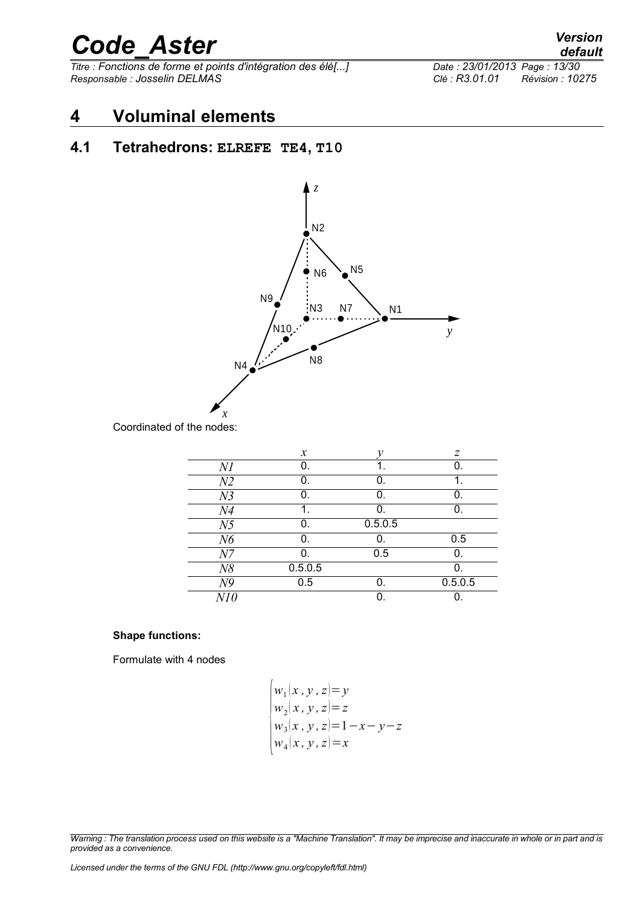# *Code\_Aster Version*<br>*Titre : Fonctions de forme et points d'intégration des élé[...] Date : 23/01/2013 Page : 13/30*

*Titre : Fonctions de forme et points d'intégration des élé[...] Date : 23/01/20*<br> *Responsable : Josselin DELMAS Clé : R3.01.01 Responsable : Josselin DELMAS Clé : R3.01.01 Révision : 10275*

### <span id="page-12-1"></span>**4 Voluminal elements**

#### <span id="page-12-0"></span>**4.1 Tetrahedrons: ELREFE TE4, T10**



Coordinated of the nodes:

|                | $\boldsymbol{x}$ |         | Ζ       |
|----------------|------------------|---------|---------|
| N1             | 0.               |         | 0.      |
| N <sub>2</sub> | 0.               | 0.      |         |
| N <sub>3</sub> | 0.               | 0.      | 0.      |
| N <sub>4</sub> | 1.               | 0.      | 0.      |
| N <sub>5</sub> | 0.               | 0.5.0.5 |         |
| N6             | 0.               | O.      | 0.5     |
| N <sub>7</sub> | 0.               | 0.5     | 0.      |
| $N\delta$      | 0.5.0.5          |         | 0.      |
| N <sup>9</sup> | 0.5              | 0.      | 0.5.0.5 |
| N10            |                  | O       |         |

#### **Shape functions:**

Formulate with 4 nodes

$$
\begin{cases}\nw_1(x, y, z) = y \\
w_2(x, y, z) = z \\
w_3(x, y, z) = 1 - x - y - z \\
w_4(x, y, z) = x\n\end{cases}
$$

*Warning : The translation process used on this website is a "Machine Translation". It may be imprecise and inaccurate in whole or in part and is provided as a convenience.*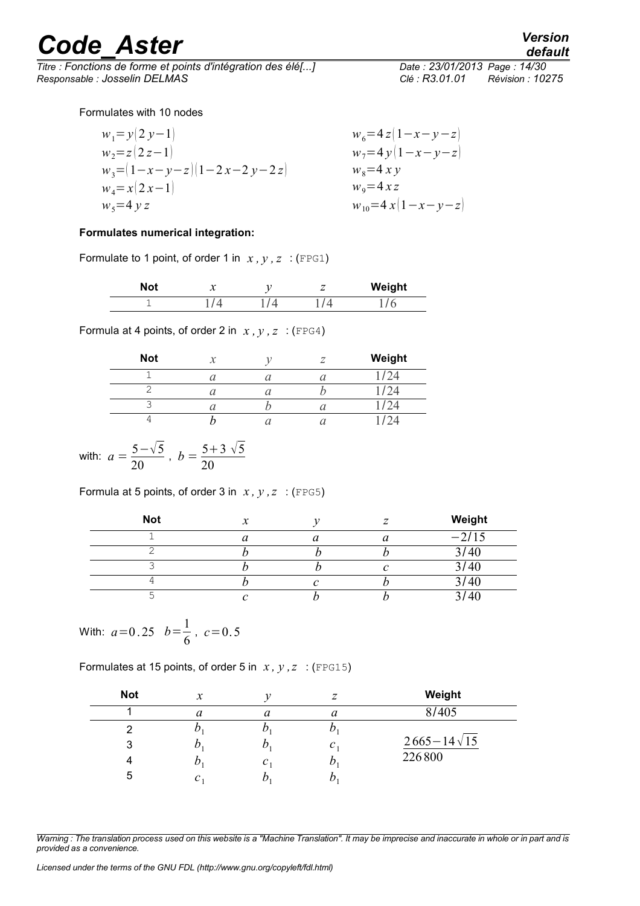# *Code\_Aster Version*<br>default<br>itre : Fonctions de forme et points d'intégration des élé[...] Date : 23/01/2013 Page : 14/30

*Titre : Fonctions de forme et points d'intégration des élé[...] Date : 23/01/2013 Page : 14/30 Responsable : Josselin DELMAS Clé : R3.01.01 Révision : 10275*

Formulates with 10 nodes

$$
w_{1} = y(2 y - 1)
$$
  
\n
$$
w_{2} = z(2 z - 1)
$$
  
\n
$$
w_{3} = (1 - x - y - z)(1 - 2x - 2y - 2z)
$$
  
\n
$$
w_{4} = x(2 x - 1)
$$
  
\n
$$
w_{5} = 4 xy
$$
  
\n
$$
w_{6} = 4 z(1 - x - y - z)
$$
  
\n
$$
w_{7} = 4 y(1 - x - y - z)
$$
  
\n
$$
w_{8} = 4 xy
$$
  
\n
$$
w_{9} = 4 x z
$$
  
\n
$$
w_{10} = 4 x(1 - x - y - z)
$$

#### **Formulates numerical integration:**

Formulate to 1 point, of order 1 in  $x$ ,  $y$ ,  $z$  : (FPG1)

| <b>Not</b> |  | — | Weight |
|------------|--|---|--------|
|            |  |   |        |

Formula at 4 points, of order 2 in  $x$ ,  $y$ ,  $z$  : (FPG4)

| <b>Not</b> | $\mathcal{X}$ |  | Weight |
|------------|---------------|--|--------|
|            | u             |  |        |
|            | и             |  |        |
|            |               |  |        |
|            |               |  |        |

with:  $a = \frac{5-\sqrt{5}}{20}$ 20  $b = \frac{5+3\sqrt{5}}{20}$ 20

Formula at 5 points, of order 3 in  $x, y, z$  : (FPG5)

| <b>Not</b> | $\sim$<br>л | $\overline{ }$ | Weight         |
|------------|-------------|----------------|----------------|
|            |             |                | $\frac{7}{15}$ |
|            |             |                | 4(             |
|            |             |                | 40             |
|            |             |                |                |
|            |             |                |                |

With:  $a=0.25$   $b=\frac{1}{6}$ 6 , *c*=0. 5

Formulates at 15 points, of order 5 in  $x, y, z$  : (FPG15)

| <b>Not</b> | $\mathcal{X}$ |   | z | Weight               |
|------------|---------------|---|---|----------------------|
|            | а             | a | a | 8/405                |
| າ          |               | ι | υ |                      |
| 3          |               | ι | с | $2665 - 14\sqrt{15}$ |
| 4          | ◡             | U | υ | 226800               |
| 5          |               | U | υ |                      |

*Warning : The translation process used on this website is a "Machine Translation". It may be imprecise and inaccurate in whole or in part and is provided as a convenience.*

*default*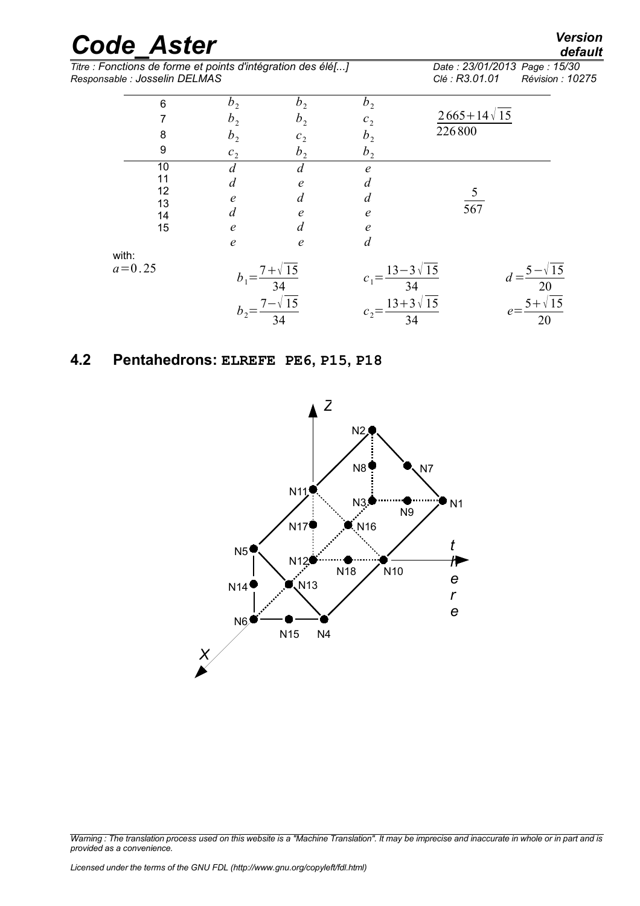| <b>Code Aster</b>             |          |                                                              |                  |                   |                          | <b>Version</b><br>default                              |
|-------------------------------|----------|--------------------------------------------------------------|------------------|-------------------|--------------------------|--------------------------------------------------------|
| Responsable : Josselin DELMAS |          | Titre : Fonctions de forme et points d'intégration des élé[] |                  |                   | Clé : R3.01.01           | Date: 23/01/2013 Page: 15/30<br><b>Révision: 10275</b> |
|                               | 6        | b <sub>2</sub>                                               | b <sub>2</sub>   | b <sub>2</sub>    |                          |                                                        |
|                               |          | b <sub>2</sub>                                               | b,               | c <sub>2</sub>    | $2665+14\sqrt{15}$       |                                                        |
|                               | 8        | b <sub>2</sub>                                               | c <sub>2</sub>   | b <sub>2</sub>    | 226800                   |                                                        |
|                               | 9        | c <sub>2</sub>                                               | b <sub>2</sub>   | b <sub>2</sub>    |                          |                                                        |
|                               | 10       | $\overline{d}$                                               | $\overline{d}$   | $\mathcal{C}_{0}$ |                          |                                                        |
|                               | 11       | d                                                            | $\boldsymbol{e}$ |                   |                          |                                                        |
|                               | 12       | $\epsilon$                                                   | $\overline{d}$   | d.                |                          |                                                        |
|                               | 13<br>14 | $\overline{d}$                                               | e                | $\epsilon$        | $\overline{567}$         |                                                        |
|                               | 15       | e                                                            | $\overline{d}$   | $\epsilon$        |                          |                                                        |
|                               |          | e                                                            | $\epsilon$       | $\overline{d}$    |                          |                                                        |
| with:                         |          |                                                              |                  |                   |                          |                                                        |
| $a=0.25$                      |          |                                                              |                  |                   | $13 - 3 \sqrt{15}$<br>34 | 20                                                     |
|                               |          |                                                              | 34               |                   | $13 + 3\sqrt{15}$<br>34  | 20                                                     |

### <span id="page-14-0"></span>**4.2 Pentahedrons: ELREFE PE6, P15, P18**



*Warning : The translation process used on this website is a "Machine Translation". It may be imprecise and inaccurate in whole or in part and is provided as a convenience.*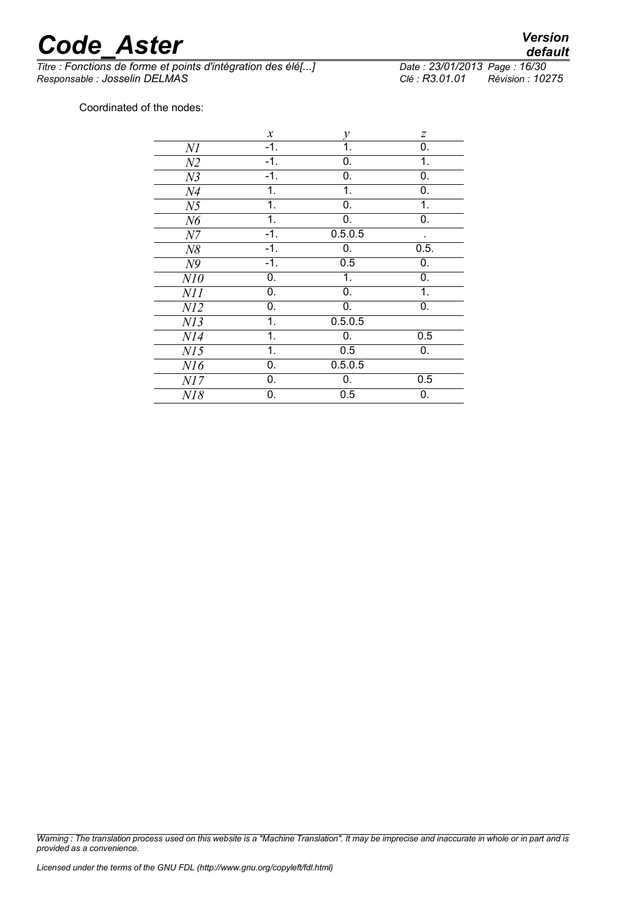*Titre : Fonctions de forme et points d'intégration des élé[...] Date : 23/01/2013 Page : 16/30 Responsable : Josselin DELMAS Clé : R3.01.01 Révision : 10275*

Coordinated of the nodes:

|                | $\boldsymbol{x}$ | $\mathcal V$ | Ζ    |
|----------------|------------------|--------------|------|
| N1             | $-1.$            | 1.           | 0.   |
| N <sub>2</sub> | $-1.$            | 0.           | 1.   |
| N <sub>3</sub> | $-1.$            | 0.           | 0.   |
| N <sub>4</sub> | 1.               | 1.           | 0.   |
| N <sub>5</sub> | 1.               | 0.           | 1.   |
| N6             | 1.               | 0.           | 0.   |
| N <sub>7</sub> | $-1.$            | 0.5.0.5      |      |
| N8             | $-1.$            | 0.           | 0.5. |
| N <sup>9</sup> | $-1.$            | 0.5          | 0.   |
| N10            | 0.               | 1.           | 0.   |
| NII            | 0.               | 0.           | 1.   |
| N12            | 0.               | 0.           | 0.   |
| NI3            | 1.               | 0.5.0.5      |      |
| N14            | 1.               | 0.           | 0.5  |
| NI5            | 1.               | 0.5          | 0.   |
| NI6            | 0.               | 0.5.0.5      |      |
| NI7            | 0.               | 0.           | 0.5  |
| N18            | 0.               | 0.5          | 0.   |

*Warning : The translation process used on this website is a "Machine Translation". It may be imprecise and inaccurate in whole or in part and is provided as a convenience.*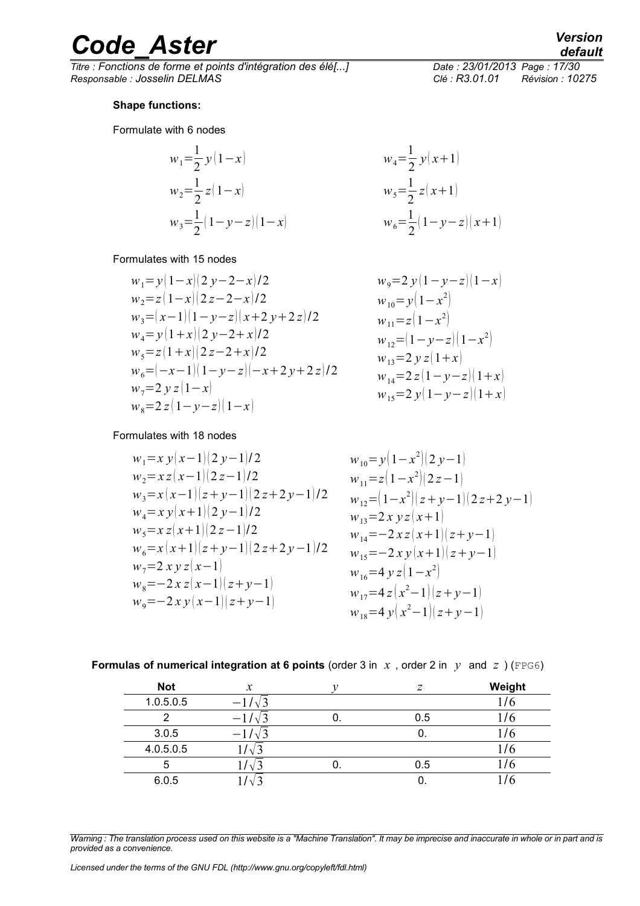# *Code\_Aster Version*<br>*Titre : Fonctions de forme et points d'intégration des élé[...] Date : 23/01/2013 Page : 17/30*

*Titre : Fonctions de forme et points d'intégration des élé[...] Date : 23/01/2013 Page : 17/30 Responsable : Josselin DELMAS Clé : R3.01.01 Révision : 10275*

#### **Shape functions:**

Formulate with 6 nodes

$$
w_1 = \frac{1}{2} y (1 - x)
$$
  
\n
$$
w_2 = \frac{1}{2} z (1 - x)
$$
  
\n
$$
w_3 = \frac{1}{2} (1 - y - z) (1 - x)
$$
  
\n
$$
w_4 = \frac{1}{2} y (x + 1)
$$
  
\n
$$
w_5 = \frac{1}{2} z (x + 1)
$$
  
\n
$$
w_6 = \frac{1}{2} (1 - y - z) (x + 1)
$$

#### Formulates with 15 nodes

$$
w_{1} = y(1-x)(2y-2-x)/2
$$
  
\n
$$
w_{2} = z(1-x)(2z-2-x)/2
$$
  
\n
$$
w_{3} = (x-1)(1-y-z)(x+2y+2z)/2
$$
  
\n
$$
w_{4} = y(1+x)(2y-2+x)/2
$$
  
\n
$$
w_{5} = z(1+x)(2z-2+x)/2
$$
  
\n
$$
w_{6} = (-x-1)(1-y-z)(-x+2y+2z)/2
$$
  
\n
$$
w_{10} = y(1-x^{2})
$$
  
\n
$$
w_{10} = y(1-x^{2})
$$
  
\n
$$
w_{11} = z(1-x^{2})
$$
  
\n
$$
w_{12} = (1-y-z)(1-x^{2})
$$
  
\n
$$
w_{13} = 2 y z(1+x)
$$
  
\n
$$
w_{14} = 2 z(1-y-z)(1+x)
$$
  
\n
$$
w_{15} = 2 y(1-y-z)(1+x)
$$
  
\n
$$
w_{16} = y(1-y-z)(1-x^{2})
$$
  
\n
$$
w_{17} = z(1-y-z)(1+x)
$$

Formulates with 18 nodes

$$
w_{1} = x y(x-1)(2 y-1)/2
$$
  
\n
$$
w_{2} = x z(x-1)(2 z-1)/2
$$
  
\n
$$
w_{3} = x(x-1)(z+y-1)(2 z+2 y-1)/2
$$
  
\n
$$
w_{4} = x y(x+1)(2 y-1)/2
$$
  
\n
$$
w_{5} = x z(x+1)(2 z-1)/2
$$
  
\n
$$
w_{6} = x(x+1)(z+y-1)(2 z+2 y-1)/2
$$
  
\n
$$
w_{7} = 2 x y z(x-1)
$$
  
\n
$$
w_{8} = -2 x z(x-1)(z+y-1)
$$
  
\n
$$
w_{10} = y(1-x^{2})(2 y-1)
$$
  
\n
$$
w_{11} = z(1-x^{2})(2 y-1)
$$
  
\n
$$
w_{12} = (1-x^{2})(2 z-1)
$$
  
\n
$$
w_{13} = 2 x y z(x+1)
$$
  
\n
$$
w_{14} = -2 x z(x+1)(z+y-1)
$$
  
\n
$$
w_{15} = -2 x y(x+1)(z+y-1)
$$
  
\n
$$
w_{16} = 4 y z(1-x^{2})
$$
  
\n
$$
w_{17} = 4 z(x^{2}-1)(z+y-1)
$$
  
\n
$$
w_{18} = 4 y(x^{2}-1)(z+y-1)
$$

#### **Formulas of numerical integration at 6 points (order 3 in**  $x$ **, order 2 in**  $y$  **and**  $z$ **) (FPG6)**

| <b>Not</b> | $\mathcal{X}$ |    | Ζ   | Weight |
|------------|---------------|----|-----|--------|
| 1.0.5.0.5  | $-1/\sqrt{2}$ |    |     | 176    |
|            | $\sqrt{2}$    |    | 0.5 | 16     |
| 3.0.5      |               |    | O.  |        |
| 4.0.5.0.5  |               |    |     | 176    |
|            |               | υ. | 0.5 |        |
| 6.0.5      |               |    | U.  |        |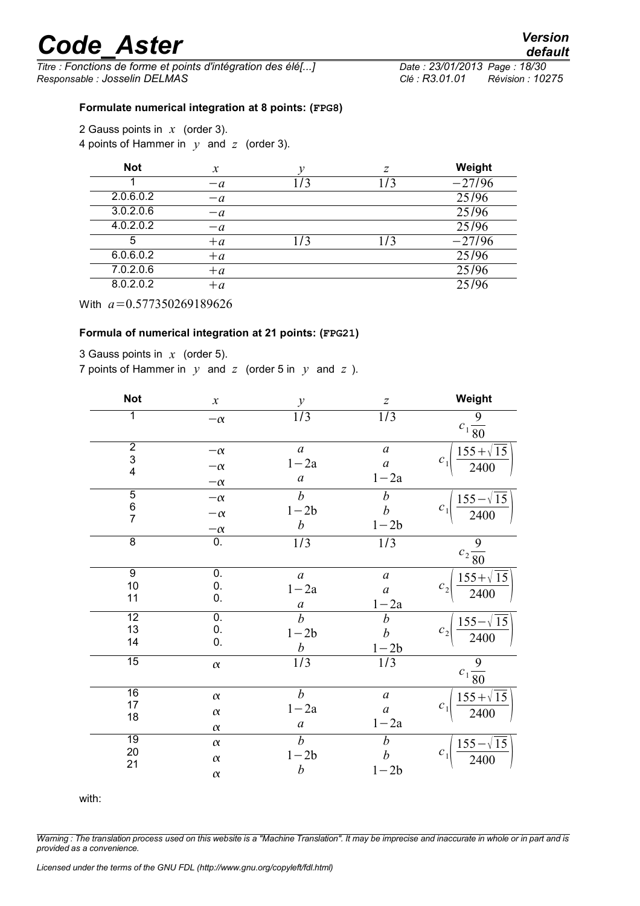# *Code\_Aster Version*<br>default<br>Fitre : Fonctions de forme et points d'intégration des élé[...] Date : 23/01/2013 Page : 18/30

*Titre : Fonctions de forme et points d'intégration des élé[...] Date : 23/01/2013 Page : 18/30 Responsable : Josselin DELMAS Clé : R3.01.01 Révision : 10275*

#### **Formulate numerical integration at 8 points: (FPG8)**

2 Gauss points in *x* (order 3).

4 points of Hammer in *y* and *z* (order 3).

| <b>Not</b> | $\mathcal{X}$ |     | Ζ   | Weight   |
|------------|---------------|-----|-----|----------|
|            | $-a$          | 173 | 1/3 | $-27/96$ |
| 2.0.6.0.2  | $-a$          |     |     | 25/96    |
| 3.0.2.0.6  | $-a$          |     |     | 25/96    |
| 4.0.2.0.2  | $-a$          |     |     | 25/96    |
| 5          | $+a$          | 1/3 | 1/3 | $-27/96$ |
| 6.0.6.0.2  | $+a$          |     |     | 25/96    |
| 7.0.2.0.6  | $+a$          |     |     | 25/96    |
| 8.0.2.0.2  | $+a$          |     |     | 25/96    |

With *a*=0.577350269189626

#### **Formula of numerical integration at 21 points: (FPG21)**

3 Gauss points in *x* (order 5).

7 points of Hammer in *y* and *z* (order 5 in *y* and *z* ).

| <b>Not</b>      | $\boldsymbol{\mathcal{X}}$ | $\mathcal{Y}$    | $\boldsymbol{Z}$ | Weight                                         |
|-----------------|----------------------------|------------------|------------------|------------------------------------------------|
| $\mathbf{1}$    | $-\alpha$                  | 1/3              | 1/3              |                                                |
|                 |                            |                  |                  | $\frac{9}{c_1\frac{9}{80}}$                    |
| $\overline{2}$  | $-\alpha$                  | $\boldsymbol{a}$ | $\boldsymbol{a}$ | $155 + \sqrt{15}$                              |
| $\frac{3}{4}$   | $-\alpha$                  | $1-2a$           | $\boldsymbol{a}$ | c <sub>1</sub><br>2400                         |
|                 | $-\alpha$                  | $\boldsymbol{a}$ | $1-2a$           |                                                |
|                 | $-\alpha$                  | $\boldsymbol{b}$ | $\overline{b}$   |                                                |
| 5<br>6<br>7     | $-\alpha$                  | $1-2b$           | $\boldsymbol{b}$ | $\frac{155 - \sqrt{15}}{2400}$<br>$\mathcal C$ |
|                 | $-\alpha$                  | $\boldsymbol{b}$ | $1-2b$           |                                                |
| $\overline{8}$  | $\overline{0}$ .           | $\overline{1/3}$ | $\overline{1/3}$ |                                                |
|                 |                            |                  |                  | $\frac{9}{c_2\frac{9}{80}}$                    |
| $\overline{9}$  | 0.                         | $\boldsymbol{a}$ | $\boldsymbol{a}$ | $\frac{155 + \sqrt{15}}{2}$                    |
| 10              | 0.                         | $1-2a$           | $\boldsymbol{a}$ | $c_2$<br>2400                                  |
| 11              | 0.                         | $\boldsymbol{a}$ | $1-2a$           |                                                |
| $\overline{12}$ | 0.                         | $\boldsymbol{b}$ | $\boldsymbol{b}$ | $155 - \sqrt{15}$                              |
| 13              | 0.                         | $1-2b$           | $\boldsymbol{b}$ | $c_2$<br>2400                                  |
| 14              | 0.                         | $\boldsymbol{b}$ | $1-2b$           |                                                |
| 15              | $\alpha$                   | $\overline{1/3}$ | $\overline{1/3}$ |                                                |
|                 |                            |                  |                  | $\overline{c_1\frac{9}{80}}$                   |
| $\overline{16}$ | $\alpha$                   | $\overline{b}$   | $\boldsymbol{a}$ | $155 + \sqrt{15}$                              |
| 17              | $\alpha$                   | $1-2a$           | $\boldsymbol{a}$ | c <sub>1</sub><br>2400                         |
| 18              | $\alpha$                   | $\boldsymbol{a}$ | $1-2a$           |                                                |
| $\overline{19}$ | $\alpha$                   | $\boldsymbol{b}$ | $\boldsymbol{b}$ | $155 - 15$                                     |
| 20<br>21        | $\alpha$                   | $1-2b$           | $\boldsymbol{b}$ |                                                |
|                 | $\alpha$                   | $\boldsymbol{b}$ | $1-2b$           |                                                |

with: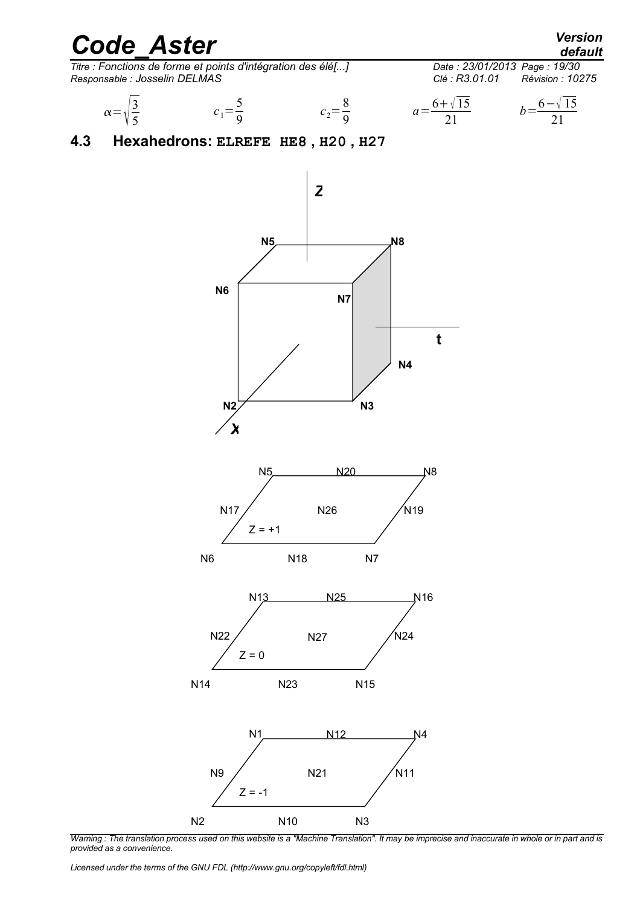<span id="page-18-0"></span>

*Warning : The translation process used on this website is a "Machine Translation". It may be imprecise and inaccurate in whole or in part and is provided as a convenience.*

N2 N3 N10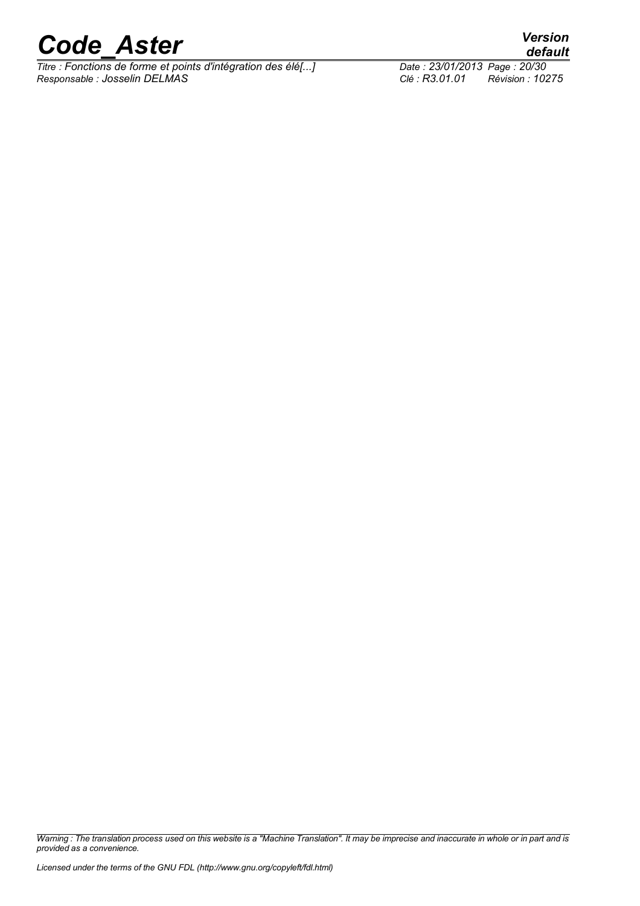*Titre : Fonctions de forme et points d'intégration des élé[...] Date : 23/01/2013 Page : 20/30 Responsable : Josselin DELMAS Clé : R3.01.01 Révision : 10275*

*default*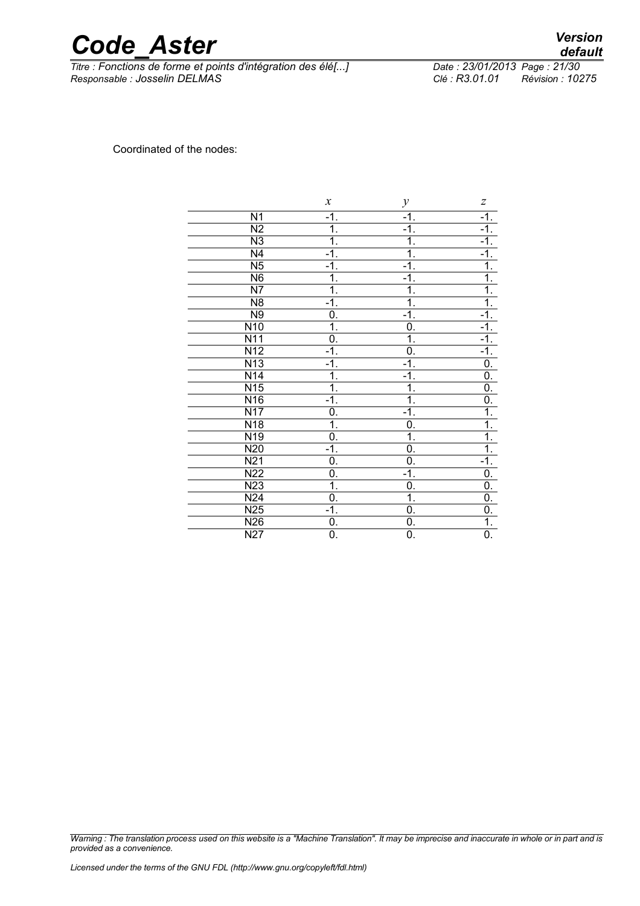

*Titre : Fonctions de forme et points d'intégration des élé[...] Date : 23/01/20*<br> *Responsable : Josselin DELMAS Clé : R3.01.01 Responsable : Josselin DELMAS Clé : R3.01.01 Révision : 10275*

Coordinated of the nodes:

|                        | $\boldsymbol{\mathcal{X}}$ | ${\mathcal Y}$            | $\boldsymbol{Z}$ |
|------------------------|----------------------------|---------------------------|------------------|
| N <sub>1</sub>         | $-1.$                      | $-1.$                     | $-1.$            |
| N <sub>2</sub>         | $\overline{1}$ .           | $-1.$                     | $-1.$            |
| $\overline{N3}$        | $\overline{1}$ .           | $\overline{1}$ .          | $-1$ .           |
| N <sub>4</sub>         | $\bar{1}$                  | $\overline{1}$ .          | -1.              |
| $\overline{\text{N5}}$ | $-1.$                      | $-1.$                     | $\overline{1}$ . |
| $\overline{\text{N6}}$ | $\overline{1}$ .           | $-1.$                     | $\overline{1}$ . |
| N7                     | 1.                         | $\overline{1}$ .          | $\overline{1}$ . |
| N <sub>8</sub>         | $-1.$                      | $\overline{1}$ .          | $\overline{1}$ . |
| $\overline{N9}$        | $\overline{0}$ .           | $-1.$                     | $-1.$            |
| N <sub>10</sub>        | $\overline{1}$ .           | 0.                        | $-1.$            |
| N11                    | $\overline{0}$ .           | $\overline{1}$ .          | $-1.$            |
| N <sub>12</sub>        | $-1.$                      | $\overline{0}$ .          | $-1.$            |
| N13                    | $-1.$                      | $-1.$                     | $\overline{0}$ . |
| N14                    | 1.                         | $-1.$                     | $\overline{0}$ . |
| N15                    | $\overline{1}$ .           | $\overline{1}$ .          | 0.               |
| N16                    | $-1.$                      | $\overline{1}$ .          | $\overline{0}$ . |
| N17                    | 0.                         | $-1.$                     | $\overline{1}$ . |
| N18                    | $\overline{1}$ .           | $\overline{0}$ .          | $\overline{1}$ . |
| N19                    | $\overline{0}$ .           | $\overline{1}$ .          | $\overline{1}$ . |
| N20                    | $-1.$                      | $\overline{0}$ .          | 1.               |
| N <sub>21</sub>        | 0.                         | 0.                        | $-1.$            |
| N <sub>22</sub>        | 0.                         | $-1.$                     | $\overline{0}$ . |
| $\overline{N23}$       | $\overline{1}$ .           | $\overline{0}$ .          | $\overline{0}$ . |
| N <sub>24</sub>        | $\overline{0}$ .           | $\overline{\mathbf{1}}$ . | $\overline{0}$ . |
| N <sub>25</sub>        | -1.                        | 0.                        | $\overline{0}$ . |
| N26                    | 0.                         | 0.                        | $\overline{1}$ . |
| $\overline{N27}$       | $\overline{0}$ .           | $\overline{0}$ .          | $\overline{0}$ . |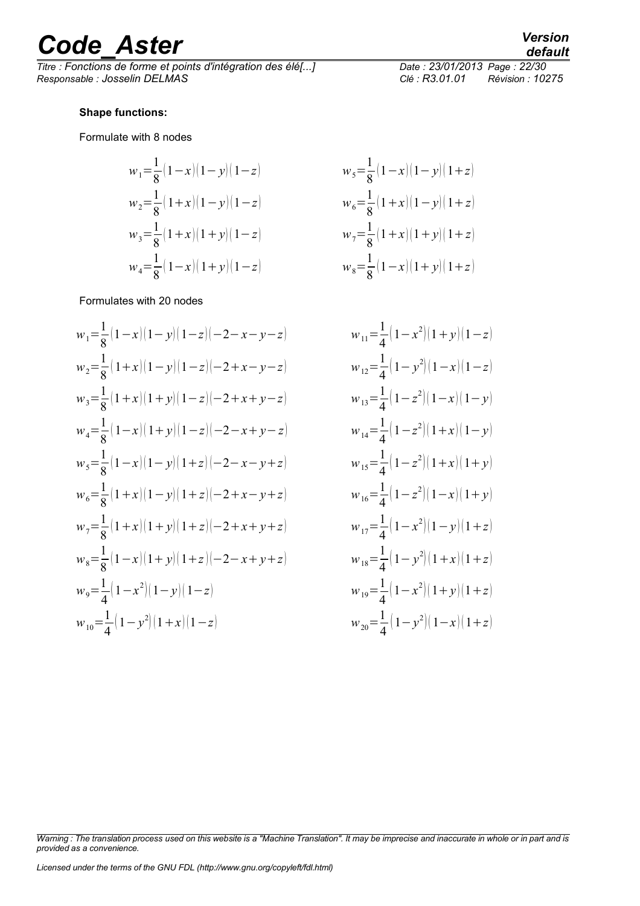*Titre : Fonctions de forme et points d'intégration des élé[...] Date : 23/01/2013 Page : 22/30 Responsable : Josselin DELMAS Clé : R3.01.01 Révision : 10275*

#### **Shape functions:**

Formulate with 8 nodes

$$
w_1 = \frac{1}{8} (1-x)(1-y)(1-z)
$$
  
\n
$$
w_2 = \frac{1}{8} (1+x)(1-y)(1-z)
$$
  
\n
$$
w_3 = \frac{1}{8} (1+x)(1+y)(1-z)
$$
  
\n
$$
w_4 = \frac{1}{8} (1-x)(1+y)(1-z)
$$

Formulates with 20 nodes

$$
w_1 = \frac{1}{8}(1-x)(1-y)(1-z)(-2-x-y-z)
$$
  
\n
$$
w_2 = \frac{1}{8}(1+x)(1-y)(1-z)(-2+x-y-z)
$$
  
\n
$$
w_3 = \frac{1}{8}(1+x)(1+y)(1-z)(-2+x+y-z)
$$
  
\n
$$
w_4 = \frac{1}{8}(1-x)(1+y)(1-z)(-2-x+y-z)
$$
  
\n
$$
w_5 = \frac{1}{8}(1-x)(1-y)(1+z)(-2-x-y+z)
$$
  
\n
$$
w_6 = \frac{1}{8}(1+x)(1-y)(1+z)(-2+x-y+z)
$$
  
\n
$$
w_7 = \frac{1}{8}(1-x)(1+y)(1+z)(-2-x+y+z)
$$
  
\n
$$
w_8 = \frac{1}{8}(1-x)(1+y)(1+z)(-2-x+y+z)
$$
  
\n
$$
w_9 = \frac{1}{4}(1-x^2)(1-y)(1-z)
$$
  
\n
$$
w_{10} = \frac{1}{4}(1-y^2)(1+x)(1-z)
$$

$$
w_5 = \frac{1}{8} (1-x)(1-y)(1+z)
$$
  
\n
$$
w_6 = \frac{1}{8} (1+x)(1-y)(1+z)
$$
  
\n
$$
w_7 = \frac{1}{8} (1+x)(1+y)(1+z)
$$
  
\n
$$
w_8 = \frac{1}{8} (1-x)(1+y)(1+z)
$$

$$
w_{11} = \frac{1}{4} (1 - x^2)(1 + y)(1 - z)
$$
  
\n
$$
w_{12} = \frac{1}{4} (1 - y^2)(1 - x)(1 - z)
$$
  
\n
$$
w_{13} = \frac{1}{4} (1 - z^2)(1 - x)(1 - y)
$$
  
\n
$$
w_{14} = \frac{1}{4} (1 - z^2)(1 + x)(1 - y)
$$
  
\n
$$
w_{15} = \frac{1}{4} (1 - z^2)(1 + x)(1 + y)
$$
  
\n
$$
w_{16} = \frac{1}{4} (1 - z^2)(1 - x)(1 + y)
$$
  
\n
$$
w_{17} = \frac{1}{4} (1 - x^2)(1 - y)(1 + z)
$$
  
\n
$$
w_{18} = \frac{1}{4} (1 - y^2)(1 + x)(1 + z)
$$
  
\n
$$
w_{19} = \frac{1}{4} (1 - x^2)(1 + y)(1 + z)
$$
  
\n
$$
w_{20} = \frac{1}{4} (1 - y^2)(1 - x)(1 + z)
$$

*Warning : The translation process used on this website is a "Machine Translation". It may be imprecise and inaccurate in whole or in part and is provided as a convenience.*

*default*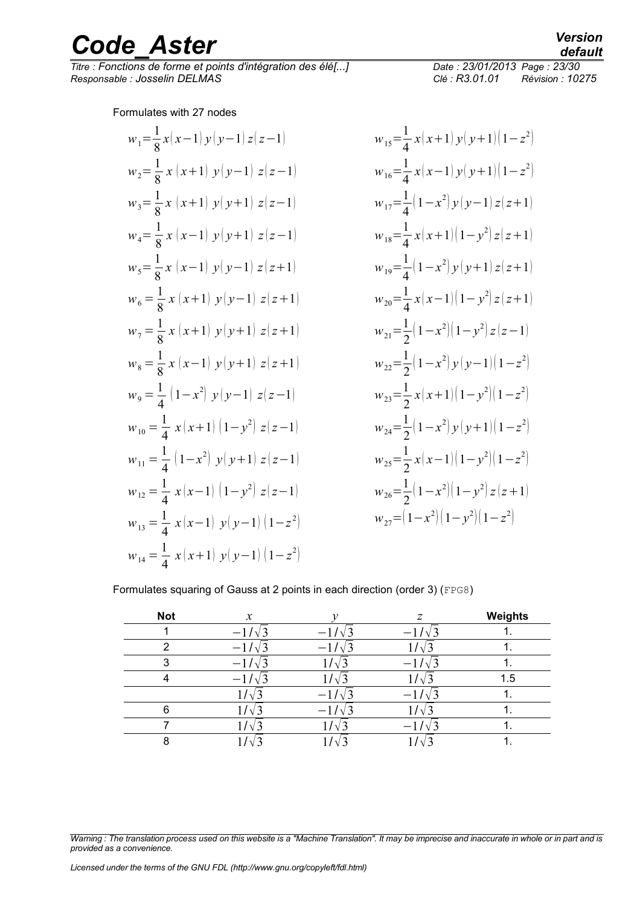*Titre : Fonctions de forme et points d'intégration des élé[...] Date : 23/01/2013 Page : 23/30 Responsable : Josselin DELMAS Clé : R3.01.01 Révision : 10275*

Formulates with 27 nodes

$$
w_{1} = \frac{1}{8}x(x-1)y(y-1)z(z-1)
$$
\n
$$
w_{2} = \frac{1}{8}x(x+1)y(y-1)z(z-1)
$$
\n
$$
w_{3} = \frac{1}{8}x(x+1)y(y+1)z(z-1)
$$
\n
$$
w_{4} = \frac{1}{8}x(x-1)y(y+1)z(z-1)
$$
\n
$$
w_{5} = \frac{1}{8}x(x-1)y(y+1)z(z-1)
$$
\n
$$
w_{6} = \frac{1}{8}x(x-1)y(y-1)z(z+1)
$$
\n
$$
w_{7} = \frac{1}{4}(1-x^{2})y(y-1)z(z+1)
$$
\n
$$
w_{8} = \frac{1}{8}x(x+1)y(y-1)z(z+1)
$$
\n
$$
w_{9} = \frac{1}{8}x(x+1)y(y-1)z(z+1)
$$
\n
$$
w_{10} = \frac{1}{8}x(x+1)y(y+1)z(z+1)
$$
\n
$$
w_{11} = \frac{1}{8}(1-x^{2})y(y+1)z(z+1)
$$
\n
$$
w_{20} = \frac{1}{4}x(x-1)(1-y^{2})z(z+1)
$$
\n
$$
w_{30} = \frac{1}{4}x(x-1)(1-y^{2})z(z-1)
$$
\n
$$
w_{4} = \frac{1}{8}x(x+1)y(y+1)z(z+1)
$$
\n
$$
w_{5} = \frac{1}{8}x(x+1)y(y+1)z(z-1)
$$
\n
$$
w_{6} = \frac{1}{4}(1-x^{2})y(y-1)z(z-1)
$$
\n
$$
w_{7} = \frac{1}{4}(1-x^{2})y(y-1)z(z-1)
$$
\n
$$
w_{7} = \frac{1}{4}(1-x^{2})y(y+1)z(z-1)
$$
\n
$$
w_{8} = \frac{1}{8}(1-x^{2})y(y+1)z(z-1)
$$
\n
$$
w_{9} = \frac{1}{4}(1-x^{2})y(y+1)z(z-1)
$$
\n
$$
w_{11} = \frac{1}{4}(1-x^{2})y(y+1)z(z-1)
$$
\n
$$
w_{12} = \frac{
$$

Formulates squaring of Gauss at 2 points in each direction (order 3) (FPG8)

| <b>Not</b> | $\mathcal{X}$            |                     | Z                        | Weights |
|------------|--------------------------|---------------------|--------------------------|---------|
|            | $-1/x$<br>$\mathbf{c}$   | $\sqrt{3}$<br>$-11$ | $\overline{\phantom{0}}$ |         |
| 2          |                          | $-1$                |                          |         |
| 3          | $\overline{\phantom{m}}$ |                     |                          |         |
|            |                          |                     |                          | 1.5     |
|            |                          | $-1/\sqrt{3}$       | $\overline{\phantom{m}}$ |         |
| 6          |                          | $\sqrt{2}$<br>$-1$  |                          |         |
|            |                          |                     |                          |         |
| 8          |                          |                     |                          |         |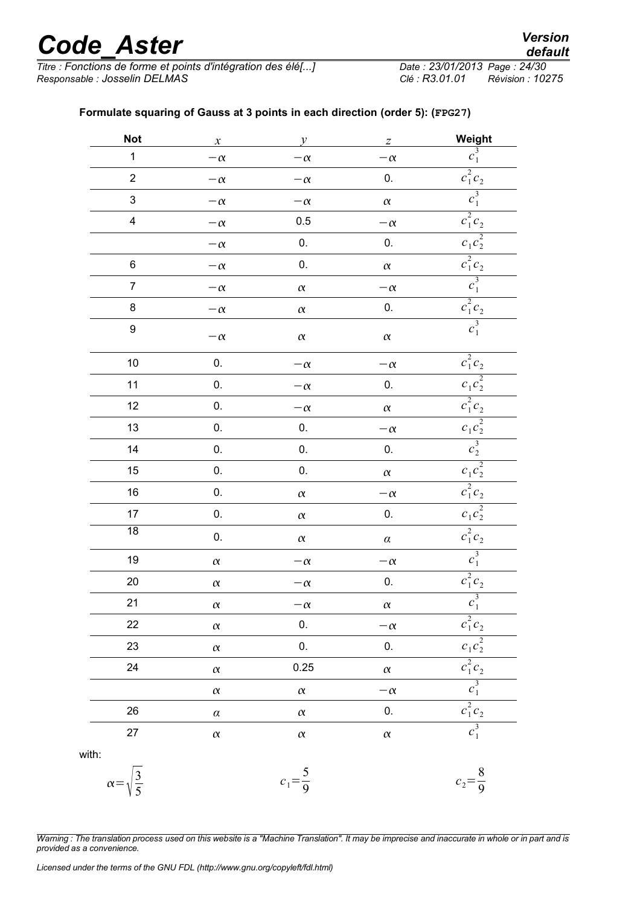*Titre : Fonctions de forme et points d'intégration des élé[...] Date : 23/01/2013 Page : 24/30 Responsable : Josselin DELMAS Clé : R3.01.01 Révision : 10275*

*default*

| Formulate squaring of Gauss at 3 points in each direction (order 5): (FPG27) |  |  |  |
|------------------------------------------------------------------------------|--|--|--|
|                                                                              |  |  |  |

| <b>Not</b>                    | $\boldsymbol{x}$ | $\mathcal{V}$       | $\overline{z}$ | Weight                                           |
|-------------------------------|------------------|---------------------|----------------|--------------------------------------------------|
| $\mathbf{1}$                  | $-\alpha$        | $-\alpha$           | $-\alpha$      | $c_1^3$                                          |
| $\mathbf 2$                   | $-\alpha$        | $-\alpha$           | 0.             | $\overline{c_1^2c_2}$                            |
| 3                             | $-\alpha$        | $-\alpha$           | $\alpha$       | $\overline{c_1^3}$                               |
| $\overline{\mathbf{4}}$       | $-\alpha$        | 0.5                 | $-\alpha$      | $\overline{c_1^2c_2}$                            |
|                               | $-\alpha$        | 0.                  | 0.             | $\overline{c_1c_2^2}$                            |
| 6                             | $-\alpha$        | 0.                  | $\alpha$       | $\overline{c_1^2c_2}$                            |
| $\overline{7}$                | $-\alpha$        | $\alpha$            | $-\alpha$      | $\overline{c_1^3}$                               |
| 8                             | $-\alpha$        | $\alpha$            | 0.             | $\overline{c_1^2c_2}$                            |
| 9                             | $-\alpha$        | $\alpha$            | $\alpha$       | $\overline{c_1^3}$                               |
| 10                            | 0.               | $-\alpha$           | $-\alpha$      | $\overline{c_1^2c_2}$                            |
| 11                            | 0.               | $-\alpha$           | 0.             | $\overline{c_1c_2^2}$                            |
| 12                            | 0.               | $-\alpha$           | $\alpha$       | $\overline{c_1^2c_2}$                            |
| 13                            | 0.               | 0.                  | $-\alpha$      | $c_1 c_2^2$                                      |
| 14                            | 0.               | 0.                  | 0.             | $\overline{c_2^3}$                               |
| 15                            | 0.               | 0.                  | $\alpha$       | $c_1 c_2^2$                                      |
| 16                            | 0.               | $\alpha$            | $-\alpha$      | $\overline{c_1^2c_2}$                            |
| 17                            | 0.               | $\alpha$            | 0.             | $\overline{c_1c_2^2}$                            |
| 18                            | 0.               | $\alpha$            | $\alpha$       | $c_1^2c_2$                                       |
| 19                            | $\alpha$         | $-\alpha$           | $-\alpha$      | $c_1^3$                                          |
| 20                            | $\alpha$         | $-\alpha$           | 0.             | $\overline{c_1^2c_2}$                            |
| 21                            | $\alpha$         | $-\alpha$           | $\alpha$       | $c_1^3$                                          |
| 22                            | $\alpha$         | 0.                  | $-\alpha$      | $\overline{c_1^2c_2}$                            |
| 23                            | $\alpha$         | 0.                  | 0.             |                                                  |
| 24                            | $\alpha$         | 0.25                | $\alpha$       |                                                  |
|                               | $\alpha$         | $\alpha$            | $-\alpha$      | $rac{c_1c_2^2}{c_1^2c_2}$<br>$rac{c_1^3}{c_1^3}$ |
| 26                            | $\alpha$         | $\alpha$            | 0.             | $\frac{c_1^2 c_2}{c_1^3}$                        |
| 27                            | $\alpha$         | $\alpha$            | $\alpha$       |                                                  |
| with:                         |                  |                     |                |                                                  |
| $\alpha = \sqrt{\frac{3}{5}}$ |                  | $c_1 = \frac{5}{9}$ |                | $c_2 = \frac{8}{9}$                              |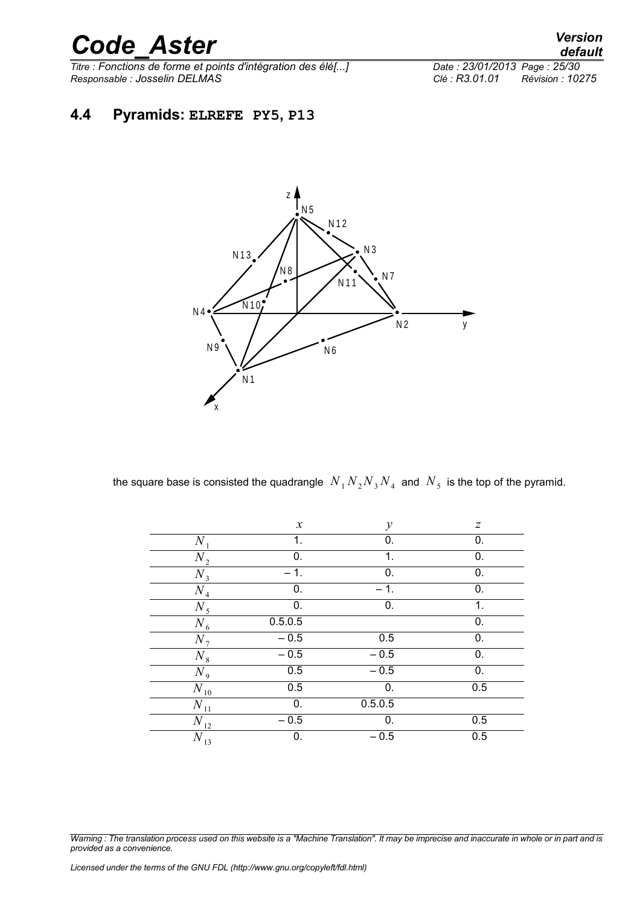# *Code\_Aster Version*<br>*Titre : Fonctions de forme et points d'intégration des élé[...] Date : 23/01/2013 Page : 25/30*

*Titre : Fonctions de forme et points d'intégration des élé[...] Date : 23/01/2013 Page : 25/30 Responsable : Josselin DELMAS Clé : R3.01.01 Révision : 10275*

### <span id="page-24-0"></span>**4.4 Pyramids: ELREFE PY5, P13**



the square base is consisted the quadrangle  $\left. N_{1}\,N_{2}N_{3}\,N_{4}\right.$  and  $\left. N_{5}\right.$  is the top of the pyramid.

|                  | $\boldsymbol{x}$ | $\mathcal{Y}$ | Z   |
|------------------|------------------|---------------|-----|
| $\boldsymbol{N}$ | 1.               | 0.            | 0.  |
| $N_{2}$          | 0.               | 1.            | 0.  |
| $N_3$            | $=$ 1.           | 0.            | 0.  |
| $N_{4}$          | 0.               | $-1.$         | 0.  |
| $N_{5}$          | 0.               | 0.            | 1.  |
| $N_{6}$          | 0.5.0.5          |               | 0.  |
| $N_{7}$          | $-0.5$           | 0.5           | 0.  |
| $N_{\rm s}$      | $-0.5$           | $-0.5$        | 0.  |
| $N_{9}$          | 0.5              | $-0.5$        | 0.  |
| $N_{10}$         | 0.5              | 0.            | 0.5 |
| $N_{11}$         | 0.               | 0.5.0.5       |     |
| $N_{12}$         | $-0.5$           | 0.            | 0.5 |
| $N_{13}$         | 0.               | $-0.5$        | 0.5 |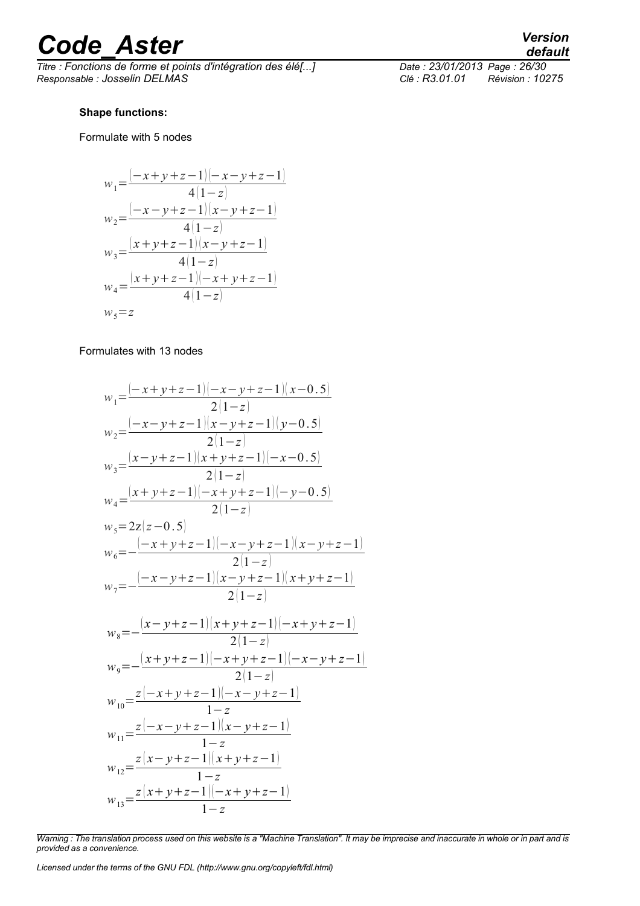*Titre : Fonctions de forme et points d'intégration des élé[...] Date : 23/01/2013 Page : 26/30 Responsable : Josselin DELMAS Clé : R3.01.01 Révision : 10275*

#### **Shape functions:**

Formulate with 5 nodes

$$
w_1 = \frac{(-x+y+z-1)(-x-y+z-1)}{4(1-z)}
$$
  
\n
$$
w_2 = \frac{(-x-y+z-1)(x-y+z-1)}{4(1-z)}
$$
  
\n
$$
w_3 = \frac{(x+y+z-1)(x-y+z-1)}{4(1-z)}
$$
  
\n
$$
w_4 = \frac{(x+y+z-1)(-x+y+z-1)}{4(1-z)}
$$
  
\n
$$
w_5 = z
$$

#### Formulates with 13 nodes

$$
w_{1} = \frac{(-x+y+z-1)(-x-y+z-1)(x-0.5)}{2(1-z)}
$$
  
\n
$$
w_{2} = \frac{(-x-y+z-1)(x-y+z-1)(y-0.5)}{2(1-z)}
$$
  
\n
$$
w_{3} = \frac{(x-y+z-1)(x+y+z-1)(-x-0.5)}{2(1-z)}
$$
  
\n
$$
w_{4} = \frac{(x+y+z-1)(-x+y+z-1)(-y-0.5)}{2(1-z)}
$$
  
\n
$$
w_{6} = -\frac{(-x+y+z-1)(-x-y+z-1)(x-y+z-1)}{2(1-z)}
$$
  
\n
$$
w_{7} = -\frac{(x-y+z-1)(x+y+z-1)(x+y+z-1)}{2(1-z)}
$$
  
\n
$$
w_{8} = -\frac{(x-y+z-1)(x+y+z-1)(-x+y+z-1)}{2(1-z)}
$$
  
\n
$$
w_{9} = -\frac{(x+y+z-1)(-x+y+z-1)(-x-y+z-1)}{1-z}
$$
  
\n
$$
w_{10} = \frac{z(-x+y+z-1)(-x-y+z-1)}{1-z}
$$
  
\n
$$
w_{11} = \frac{z(-x-y+z-1)(x-y+z-1)}{1-z}
$$
  
\n
$$
w_{12} = \frac{z(x-y+z-1)(x+y+z-1)}{1-z}
$$
  
\n
$$
w_{13} = \frac{z(x+y+z-1)(-x+y+z-1)}{1-z}
$$

*Warning : The translation process used on this website is a "Machine Translation". It may be imprecise and inaccurate in whole or in part and is provided as a convenience.*

*Licensed under the terms of the GNU FDL (http://www.gnu.org/copyleft/fdl.html)*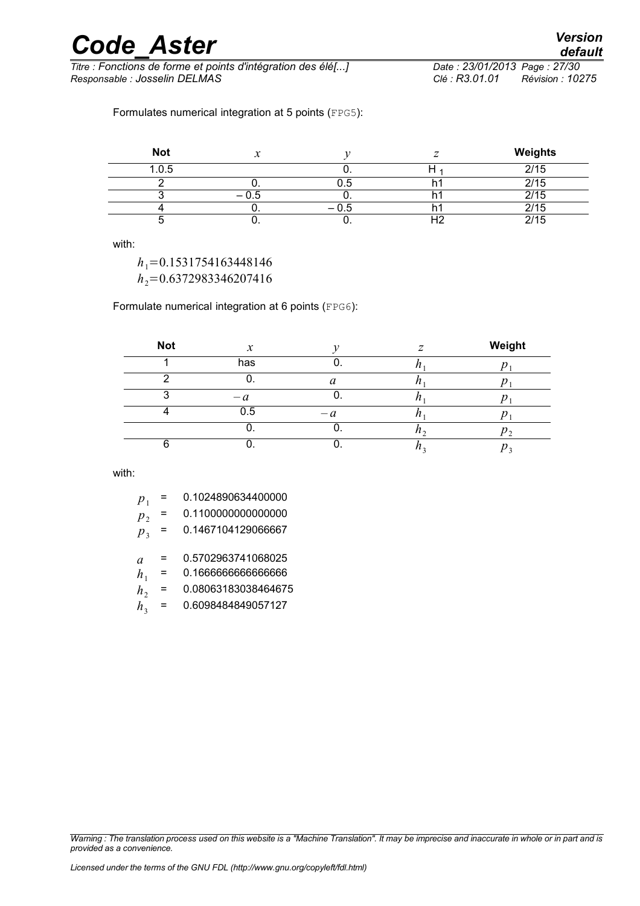*Code\_Aster Version*<br>Titre : Fonctions de forme et points d'intégration des élé[...] Date : 23/01/2013 Page : 27/30 *Titre : Fonctions de forme et points d'intégration des élé* $\dots$ *] Responsable : Josselin DELMAS Clé : R3.01.01 Révision : 10275*

Formulates numerical integration at 5 points (FPG5):

| <b>Not</b> |        |  | Weights |
|------------|--------|--|---------|
| 1.0.5      |        |  | 2/15    |
|            |        |  |         |
|            | -<br>- |  | 2/15    |
|            |        |  | 2/15    |
|            |        |  | 2/15    |

with:

*h*1=0.1531754163448146 *h*2=0.6372983346207416

Formulate numerical integration at 6 points (FPG6):

| <b>Not</b> | $\mathcal{X}$ |     | Ζ              | Weight |
|------------|---------------|-----|----------------|--------|
|            | has           |     |                |        |
|            |               | a   |                |        |
| ◠          |               |     |                |        |
|            | 0.5           | — a |                |        |
|            |               |     | $\mu_{\Omega}$ |        |
| ĥ          |               |     |                |        |

with:

| $p_1$   | = | 0.1024890634400000 |
|---------|---|--------------------|
| $p_{2}$ | = | 0.1100000000000000 |
| $p_{3}$ | = | 0.1467104129066667 |

| a | 0.5702963741068025 |
|---|--------------------|

 $h<sub>1</sub>$ = 0.1666666666666666

 $h<sub>2</sub>$ = 0.08063183038464675

 $h<sub>3</sub>$ = 0.6098484849057127

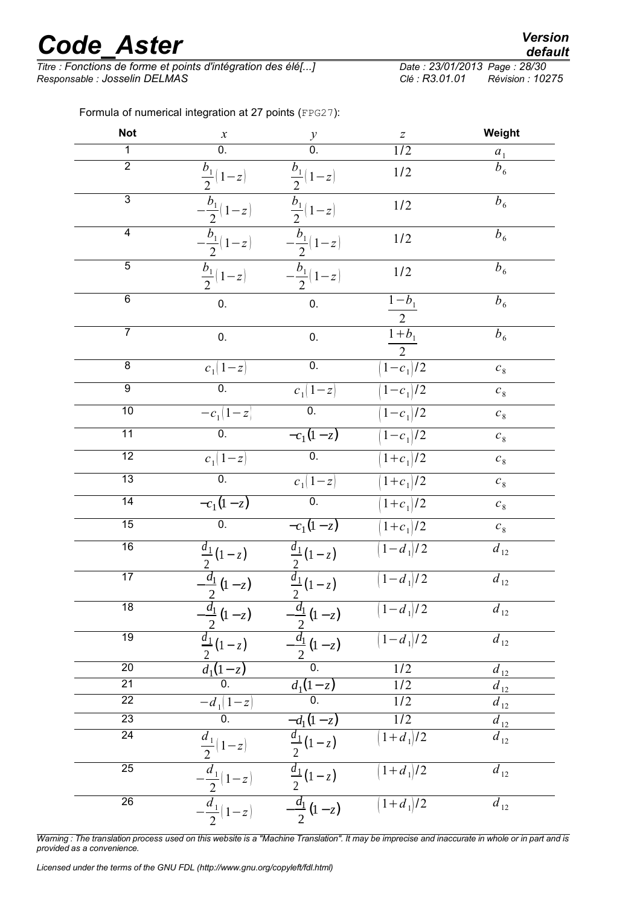*Titre : Fonctions de forme et points d'intégration des élé[...] Date : 23/01/2013 Page : 28/30 Responsable : Josselin DELMAS Clé : R3.01.01 Révision : 10275*

Formula of numerical integration at 27 points (FPG27):

| <b>Not</b>      | $\boldsymbol{x}$                                                                                             |                                                         | $\boldsymbol{Z}$                                               | Weight                                        |
|-----------------|--------------------------------------------------------------------------------------------------------------|---------------------------------------------------------|----------------------------------------------------------------|-----------------------------------------------|
| 1               | $\overline{0}$ .                                                                                             | $\frac{y}{0}$                                           | $\overline{1/2}$                                               |                                               |
| $\overline{2}$  |                                                                                                              | $rac{b_1}{2}(1-z)$                                      | $1/2$                                                          | $\frac{a_1}{b_6}$                             |
| $\overline{3}$  |                                                                                                              | $\frac{b_1}{2}(\sqrt{1-z})$                             | $1/2$                                                          | $b_{6}$                                       |
| $\overline{4}$  | $\begin{array}{c c}\n\hline\n\frac{b_1}{2}(1-z) \\ - \frac{b_1}{2}(1-z) \\ -\frac{b_1}{2}(1-z)\n\end{array}$ | $\frac{b_1}{2}(1-z)$                                    | 1/2                                                            | b <sub>6</sub>                                |
| $\overline{5}$  | $\frac{b_1}{2}(1-z)$                                                                                         | $\frac{b_1}{2} (1-z)$                                   | $1/2$                                                          | $b_{6}$                                       |
| $\overline{6}$  | $\overline{0}$ .                                                                                             | $\mathbf{0}$ .                                          |                                                                | b <sub>6</sub>                                |
| $\overline{7}$  | 0.                                                                                                           | 0.                                                      | $\frac{\frac{1-b_1}{2}}{\frac{1+b_1}{2}}$<br>$\frac{1-c_1}{2}$ | $\overline{b_6}$                              |
| $\overline{8}$  | $c_1(1-z)$                                                                                                   | $\overline{0}$ .                                        |                                                                | $c_{8}$                                       |
| $\overline{9}$  | $\overline{0}$ .                                                                                             | $c_1(1-z)$                                              | $\sqrt{1-c_1/2}$                                               | $c_{\rm 8}$                                   |
| $\overline{10}$ | $-c_1(1-z)$                                                                                                  | $\overline{0}$ .                                        | $\frac{1-c_1}{1^2}$                                            | $c_{\rm 8}$                                   |
| $\overline{11}$ | $\overline{0}$ .                                                                                             | $\overline{-c_1(1-z)}$                                  | $(1-c_1)/2$                                                    | $c_{\rm\,}$                                   |
| $\overline{12}$ | $c_1(1-z)$                                                                                                   | $\overline{0}$ .                                        | $\sqrt{1+c_1/2}$                                               | $c_{\rm 8}$                                   |
| 13              | $\overline{0}$ .                                                                                             | $c_1(1-z)$                                              | $\frac{1+c_1}{2}$                                              | $c_{8}$                                       |
| $\overline{14}$ | $-c_1(1-z)$                                                                                                  | $\overline{0.}$                                         | $\sqrt{1+c_1/2}$                                               | $c_{\rm 8}$                                   |
| $\overline{15}$ | $\overline{0}$ .                                                                                             | $\overline{-c_1(1-z)}$                                  | $(1+c_1)/2$                                                    | $c_{\rm 8}$                                   |
| 16              |                                                                                                              | $rac{\frac{d_1}{2}(1-z)}{\frac{d_1}{2}(1-z)}$           | $(1 - d_1)/2$                                                  | $d_{12}$                                      |
| $\overline{17}$ | $\frac{\frac{d_1}{2}(1-z)}{-\frac{d_1}{2}(1-z)}$                                                             |                                                         | $(1-d_1)/2$                                                    | $d_{12}$                                      |
| $\overline{18}$ | $\frac{-\frac{d_1}{2}(1-z)}{\frac{d_1}{2}(1-z)}$<br>$\frac{d_1(1-z)}{d_1(1-z)}$                              |                                                         | $(1 - d_1)/2$                                                  | $\overline{d_{12}}$                           |
| $\overline{19}$ |                                                                                                              | $\frac{-\frac{d_1}{2}(1-z)}{-\frac{d_1}{2}(1-z)}$<br>0. | $\frac{1 - d_1}{2}$                                            | $\overline{d_{12}}$                           |
| $\overline{20}$ |                                                                                                              |                                                         | $\overline{1/2}$                                               | $d_{12}$                                      |
| $\overline{21}$ |                                                                                                              | $\frac{\overline{d_1(1-z)}}{0}$                         | 1/2                                                            | $d_{12}$                                      |
| 22              | $\frac{-d_1(1-z)}{0}$                                                                                        |                                                         | $\overline{1/2}$                                               | $d_{12}$                                      |
| $\overline{23}$ |                                                                                                              |                                                         | $1/2$                                                          | $\frac{\overline{d_{12}}}{\overline{d_{12}}}$ |
| $\overline{24}$ |                                                                                                              | $\frac{-d_1(1-z)}{\frac{d_1}{2}(1-z)}$                  | $1+d_1/2$                                                      |                                               |
| 25              | $\frac{\frac{d_1}{2}(1-z)}{-\frac{d_1}{2}(1-z)}$ $\frac{-\frac{d_1}{2}(1-z)}{-\frac{d_1}{2}(1-z)}$           | $rac{d_1}{2}(1-z)$                                      | $(1+d_1)/2$                                                    | $d_{12}$                                      |
| $\overline{26}$ |                                                                                                              | $-\frac{d_1}{2}(1-z)$                                   | $(1+d_1)/2$                                                    | $d_{12}$                                      |

*Warning : The translation process used on this website is a "Machine Translation". It may be imprecise and inaccurate in whole or in part and is provided as a convenience.*

*Licensed under the terms of the GNU FDL (http://www.gnu.org/copyleft/fdl.html)*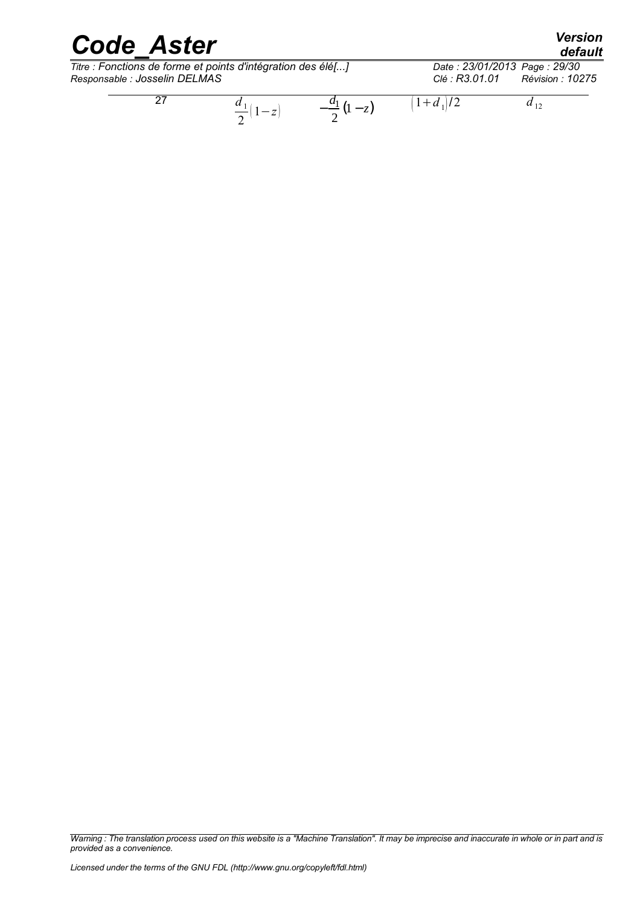| <b>Code Aster</b>                                                                             |    |  |                                                |                  | <b>Version</b><br>default |
|-----------------------------------------------------------------------------------------------|----|--|------------------------------------------------|------------------|---------------------------|
| Titre : Fonctions de forme et points d'intégration des élé[]<br>Responsable : Josselin DELMAS |    |  | Date: 23/01/2013 Page: 29/30<br>Clé : R3.01.01 | Révision : 10275 |                           |
|                                                                                               | 27 |  | $-\frac{d_1}{2}(1-z)$                          | $(1+d_1)/2$      | $a_{12}$                  |

*Warning : The translation process used on this website is a "Machine Translation". It may be imprecise and inaccurate in whole or in part and is provided as a convenience.*